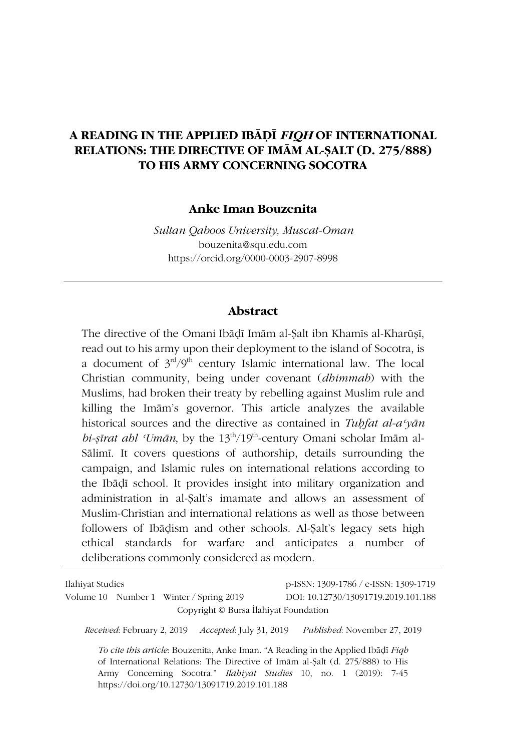# **A READING IN THE APPLIED IBĀḌĪ** *FIQH* **OF INTERNATIONAL RELATIONS: THE DIRECTIVE OF IMĀM AL-ṢALT (D. 275/888) TO HIS ARMY CONCERNING SOCOTRA**

#### **Anke Iman Bouzenita**

*Sultan Qaboos University, Muscat-Oman* bouzenita@squ.edu.com https://orcid.org/0000-0003-2907-8998

#### **Abstract**

The directive of the Omani Ibādī Imām al-Salt ibn Khamīs al-Kharūsī, read out to his army upon their deployment to the island of Socotra, is a document of  $3<sup>rd</sup>/9<sup>th</sup>$  century Islamic international law. The local Christian community, being under covenant (*dhimmah*) with the Muslims, had broken their treaty by rebelling against Muslim rule and killing the Imām's governor. This article analyzes the available historical sources and the directive as contained in *Tuḥfat al-aʿyān bi-ṣīrat ahl ʿUmān*, by the 13th/19th-century Omani scholar Imām al-Sālimī. It covers questions of authorship, details surrounding the campaign, and Islamic rules on international relations according to the Ibāḍī school. It provides insight into military organization and administration in al-Ṣalt's imamate and allows an assessment of Muslim-Christian and international relations as well as those between followers of Ibāḍism and other schools. Al-Ṣalt's legacy sets high ethical standards for warfare and anticipates a number of deliberations commonly considered as modern.

| Ilahiyat Studies                                                                                                                                                                                                                                                                                | p-ISSN: 1309-1786 / e-ISSN: 1309-1719 |
|-------------------------------------------------------------------------------------------------------------------------------------------------------------------------------------------------------------------------------------------------------------------------------------------------|---------------------------------------|
| Volume 10 Number 1 Winter / Spring 2019                                                                                                                                                                                                                                                         | DOI: 10.12730/13091719.2019.101.188   |
| Copyright © Bursa Ilahiyat Foundation                                                                                                                                                                                                                                                           |                                       |
| Received: February 2, 2019 Accepted: July 31, 2019                                                                                                                                                                                                                                              | <i>Published:</i> November 27, 2019   |
| To cite this article. Bouzenita, Anke Iman. "A Reading in the Applied Ibadi Figh<br>of International Relations: The Directive of Imam al-Salt (d. 275/888) to His<br>Army Concerning Socotra." <i>Ilabiyat Studies</i> 10, no. 1 (2019): 7-45<br>https://doi.org/10.12730/13091719.2019.101.188 |                                       |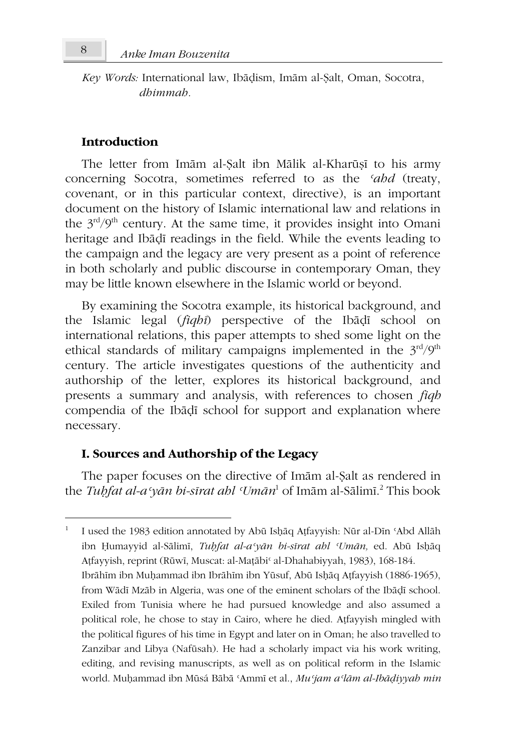*Key Words:* International law, Ibāḍism, Imām al-Ṣalt, Oman, Socotra, *dhimmah.*

### **Introduction**

The letter from Imām al-Ṣalt ibn Mālik al-Kharūṣī to his army concerning Socotra, sometimes referred to as the *ʿahd* (treaty, covenant, or in this particular context, directive), is an important document on the history of Islamic international law and relations in the  $3<sup>rd</sup>/9<sup>th</sup>$  century. At the same time, it provides insight into Omani heritage and Ibāḍī readings in the field. While the events leading to the campaign and the legacy are very present as a point of reference in both scholarly and public discourse in contemporary Oman, they may be little known elsewhere in the Islamic world or beyond.

By examining the Socotra example, its historical background, and the Islamic legal (*fiqhī*) perspective of the Ibāḍī school on international relations, this paper attempts to shed some light on the ethical standards of military campaigns implemented in the  $3^{\text{rd}}/9^{\text{th}}$ century. The article investigates questions of the authenticity and authorship of the letter, explores its historical background, and presents a summary and analysis, with references to chosen *fiqh* compendia of the Ibāḍī school for support and explanation where necessary.

### **I. Sources and Authorship of the Legacy**

The paper focuses on the directive of Imām al-Ṣalt as rendered in the *Tuḥfat al-aʿyān bi-sīrat ahl ʿUmān* <sup>1</sup> of Imām al-Sālimī. 2 This book

<sup>1</sup> I used the 1983 edition annotated by Abū Isḥāq Aṭfayyish: Nūr al-Dīn ʿAbd Allāh ibn Ḥumayyid al-Sālimī, *Tuḥfat al-aʿyān bi-sīrat ahl ʿUmān,* ed. Abū Isḥāq Aṭfayyish, reprint (Rūwī, Muscat: al-Maṭābi' al-Dhahabiyyah, 1983), 168-184. Ibrāhīm ibn Muḥammad ibn Ibrāhīm ibn Yūsuf, Abū Isḥāq Aṭfayyish (1886-1965), from Wādī Mzāb in Algeria, was one of the eminent scholars of the Ibāḍī school. Exiled from Tunisia where he had pursued knowledge and also assumed a political role, he chose to stay in Cairo, where he died. Aṭfayyish mingled with the political figures of his time in Egypt and later on in Oman; he also travelled to Zanzibar and Libya (Nafūsah). He had a scholarly impact via his work writing, editing, and revising manuscripts, as well as on political reform in the Islamic world. Muḥammad ibn Mūsá Bābā ʿAmmī et al., *Muʿjam aʿlām al-Ibāḍiyyah min*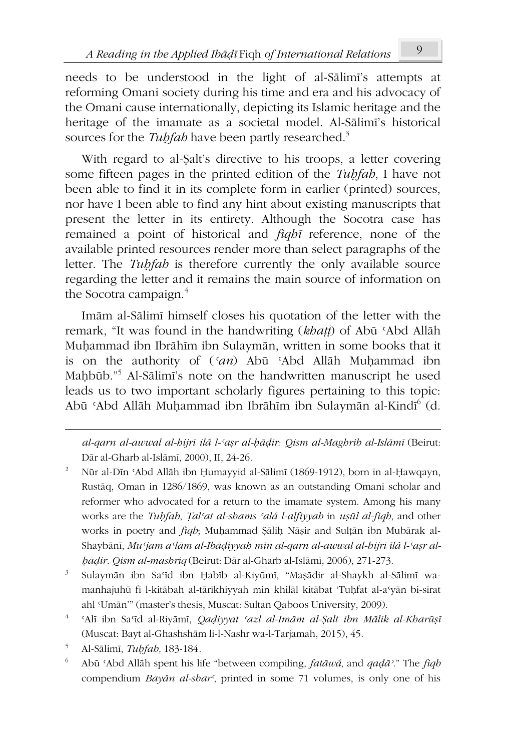needs to be understood in the light of al-Sālimī's attempts at reforming Omani society during his time and era and his advocacy of the Omani cause internationally, depicting its Islamic heritage and the heritage of the imamate as a societal model. Al-Sālimī's historical sources for the *Tubfah* have been partly researched.<sup>3</sup>

With regard to al-Ṣalt's directive to his troops, a letter covering some fifteen pages in the printed edition of the *Tuḥfah*, I have not been able to find it in its complete form in earlier (printed) sources, nor have I been able to find any hint about existing manuscripts that present the letter in its entirety. Although the Socotra case has remained a point of historical and *fiqhī* reference, none of the available printed resources render more than select paragraphs of the letter. The *Tuḥfah* is therefore currently the only available source regarding the letter and it remains the main source of information on the Socotra campaign. $<sup>4</sup>$ </sup>

Imām al-Sālimī himself closes his quotation of the letter with the remark, "It was found in the handwriting (*khaṭṭ*) of Abū ʿAbd Allāh Muḥammad ibn Ibrāhīm ibn Sulaymān, written in some books that it is on the authority of (*ʿan*) Abū ʿAbd Allāh Muḥammad ibn Maḥbūb."<sup>5</sup> Al-Sālimī's note on the handwritten manuscript he used leads us to two important scholarly figures pertaining to this topic: Abū ʿAbd Allāh Muḥammad ibn Ibrāhīm ibn Sulaymān al-Kindīʿ (d.

*al-qarn al-awwal al-hijrī ilá l-ʿaṣr al-ḥāḍir: Qism al-Maghrib al-Islāmī* (Beirut: Dār al-Gharb al-Islāmī, 2000), II, 24-26.

- 2 Nūr al-Dīn ʿAbd Allāh ibn Ḥumayyid al-Sālimī (1869-1912), born in al-Ḥawqayn, Rustāq, Oman in 1286/1869, was known as an outstanding Omani scholar and reformer who advocated for a return to the imamate system. Among his many works are the *Tuḥfah*, *Ṭalʿat al-shams ʿalá l-alfiyyah* in *uṣūl al-fiqh*, and other works in poetry and *fiqh*; Muḥammad Ṣāliḥ Nāṣir and Sulṭān ibn Mubārak al-Shaybānī, *Muʿjam aʿlām al-Ibāḍiyyah min al-qarn al-awwal al-hijrī ilá l-ʿaṣr alḥāḍir. Qism al-mashriq* (Beirut: Dār al-Gharb al-Islāmī, 2006), 271-273.
- 3 Sulaymān ibn Saʿīd ibn Ḥabīb al-Kiyūmī, "Maṣādir al-Shaykh al-Sālimī wamanhajuhū fī l-kitābah al-tārīkhiyyah min khilāl kitābat 'Tuḥfat al-aʿyān bi-sīrat ahl ʿUmān'" (master's thesis, Muscat: Sultan Qaboos University, 2009).
- 4 ʿAlī ibn Saʿīd al-Riyāmī, *Qaḍiyyat ʿazl al-Imām al-Ṣalt ibn Mālik al-Kharūṣī* (Muscat: Bayt al-Ghashshām li-l-Nashr wa-l-Tarjamah, 2015), 45.
- 5 Al-Sālimī, *Tuḥfah,* 183-184*.*
- 6 Abū ʿAbd Allāh spent his life "between compiling, *fatāwá*, and *qaḍāʾ*." The *fiqh* compendium *Bayān al-sharʿ*, printed in some 71 volumes, is only one of his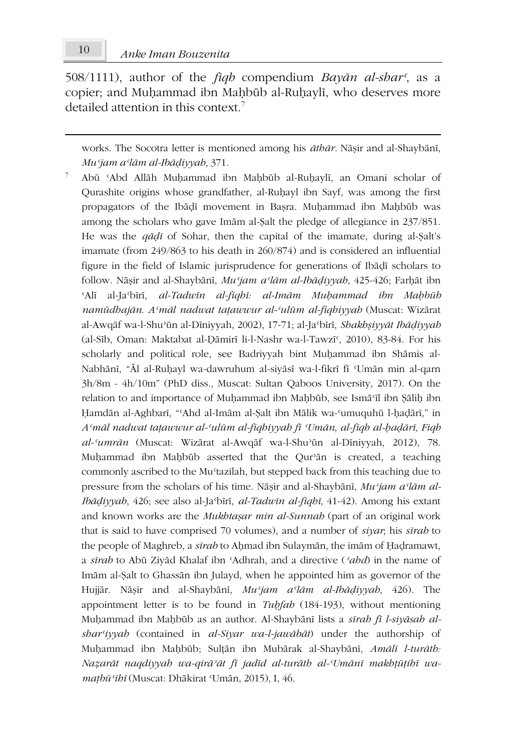508/1111), author of the *fiqh* compendium *Bayān al-sharʿ*, as a copier; and Muḥammad ibn Maḥbūb al-Ruḥaylī, who deserves more detailed attention in this context.<sup>7</sup>

works. The Socotra letter is mentioned among his *āthār.* Nāṣir and al-Shaybānī, *Muʿjam aʿlām al-Ibāḍiyyah*, 371.

7 Abū ʿAbd Allāh Muḥammad ibn Maḥbūb al-Ruḥaylī, an Omani scholar of Qurashite origins whose grandfather, al-Ruḥayl ibn Sayf, was among the first propagators of the Ibāḍī movement in Baṣra. Muḥammad ibn Maḥbūb was among the scholars who gave Imām al-Ṣalt the pledge of allegiance in 237/851. He was the *qāḍī* of Sohar, then the capital of the imamate, during al-Ṣalt's imamate (from 249/863 to his death in 260/874) and is considered an influential figure in the field of Islamic jurisprudence for generations of Ibāḍī scholars to follow. Nāṣir and al-Shaybānī, *Muʿjam aʿlām al-Ibāḍiyyah*, 425-426; Farḥāt ibn ʿAlī al-Jaʿbīrī, *al-Tadwīn al-fiqhī: al-Imām Muḥammad ibn Maḥbūb namūdhajān*. *Aʿmāl nadwat taṭawwur al-ʿulūm al-fiqhiyyah* (Muscat: Wizārat al-Awqāf wa-l-Shuʾūn al-Dīniyyah, 2002), 17-71; al-Jaʿbīrī, *Shakhṣiyyāt Ibāḍiyyah* (al-Sīb, Oman: Maktabat al-Ḍāmirī li-l-Nashr wa-l-Tawzīʿ, 2010), 83-84. For his scholarly and political role, see Badriyyah bint Muḥammad ibn Shāmis al-Nabhānī, "Āl al-Ruḥayl wa-dawruhum al-siyāsī wa-l-fikrī fī ʿUmān min al-qarn 3h/8m - 4h/10m" (PhD diss., Muscat: Sultan Qaboos University, 2017). On the relation to and importance of Muḥammad ibn Maḥbūb, see Ismāʿīl ibn Ṣāliḥ ibn Hamdān al-Aghbarī, "ʿAhd al-Imām al-Salt ibn Mālik wa-ʿumuquhū l-hadārī," in *Aʿmāl nadwat taṭawwur al-ʿulūm al-fiqhiyyah fī ʿUmān*, *al-fiqh al-ḥaḍārī, Fiqh al-ʿumrān* (Muscat: Wizārat al-Awqāf wa-l-Shuʾūn al-Dīniyyah, 2012), 78. Muḥammad ibn Maḥbūb asserted that the Qurʾān is created, a teaching commonly ascribed to the Mu'tazilah, but stepped back from this teaching due to pressure from the scholars of his time. Nāṣir and al-Shaybānī, *Muʿjam aʿlām al-Ibāḍiyyah*, 426; see also al-Jaʿbīrī, *al-Tadwīn al-fiqhī*, 41-42). Among his extant and known works are the *Mukhtaṣar min al-Sunnah* (part of an original work that is said to have comprised 70 volumes), and a number of *siyar*; his *sīrah* to the people of Maghreb, a *sīrah* to Aḥmad ibn Sulaymān, the imām of Ḥaḍramawt, a *sīrah* to Abū Ziyād Khalaf ibn ʿAdhrah, and a directive (*ʿahd*) in the name of Imām al-Ṣalt to Ghassān ibn Julayd, when he appointed him as governor of the Hujjār. Nāṣir and al-Shaybānī, *Muʿjam aʿlām al-Ibāḍiyyah*, 426). The appointment letter is to be found in *Tuḥfah* (184-193), without mentioning Muḥammad ibn Maḥbūb as an author. Al-Shaybānī lists a *sīrah fī l-siyāsah alsharʿiyyah* (contained in *al-Siyar wa-l-jawābāt*) under the authorship of Muḥammad ibn Maḥbūb; Sulṭān ibn Mubārak al-Shaybānī, *Amālī l-turāth: Naẓarāt naqdiyyah wa-qirāʾāt fī jadīd al-turāth al-ʿUmānī makhṭūṭihī wamaṭbūʿihī* (Muscat: Dhākirat ʿUmān, 2015), I, 46.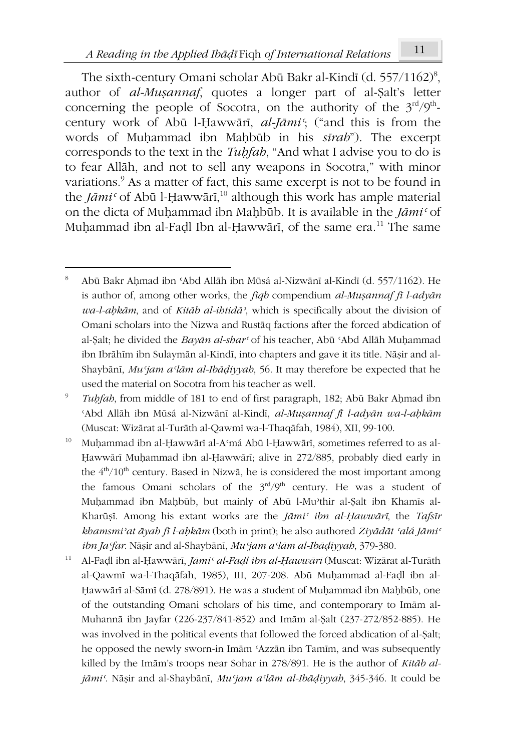The sixth-century Omani scholar Abū Bakr al-Kindī (d. 557/1162) $^{\rm 8},$ author of *al-Muṣannaf*, quotes a longer part of al-Ṣalt's letter concerning the people of Socotra, on the authority of the  $3<sup>rd</sup>/9<sup>th</sup>$ century work of Abū l-Ḥawwārī, *al-Jāmiʿ*; ("and this is from the words of Muḥammad ibn Maḥbūb in his *sīrah*"). The excerpt corresponds to the text in the *Tuḥfah*, "And what I advise you to do is to fear Allāh, and not to sell any weapons in Socotra," with minor variations.<sup>9</sup> As a matter of fact, this same excerpt is not to be found in the *Jāmiʿ* of Abū l-Ḥawwārī, <sup>10</sup> although this work has ample material on the dicta of Muḥammad ibn Maḥbūb. It is available in the *Jāmiʿ* of Muḥammad ibn al-Faḍl Ibn al-Ḥawwārī, of the same era.<sup>11</sup> The same

- <sup>10</sup> Muḥammad ibn al-Ḥawwārī al-Aʿmá Abū l-Ḥawwārī, sometimes referred to as al-Ḥawwārī Muḥammad ibn al-Ḥawwārī; alive in 272/885, probably died early in the  $4<sup>th</sup>/10<sup>th</sup>$  century. Based in Nizwā, he is considered the most important among the famous Omani scholars of the  $3<sup>rd</sup>/9<sup>th</sup>$  century. He was a student of Muḥammad ibn Maḥbūb, but mainly of Abū l-Muʾthir al-Ṣalt ibn Khamīs al-Kharūṣī. Among his extant works are the *Jāmiʿ ibn al-Ḥawwārī*, the *Tafsīr khamsmiʾat āyah fī l-aḥkām* (both in print); he also authored *Ziyādāt ʿalá Jāmiʿ ibn Jaʿfar*. Nāṣir and al-Shaybānī, *Muʿjam aʿlām al-Ibāḍiyyah*, 379-380.
- <sup>11</sup> Al-Faḍl ibn al-Ḥawwārī, *Jāmiʿ al-Faḍl ibn al-Ḥawwārī* (Muscat: Wizārat al-Turāth al-Qawmī wa-l-Thaqāfah, 1985), III, 207-208. Abū Muḥammad al-Faḍl ibn al-Hawwārī al-Sāmī (d. 278/891). He was a student of Muhammad ibn Mahbūb, one of the outstanding Omani scholars of his time, and contemporary to Imām al-Muhannā ibn Jayfar (226-237/841-852) and Imām al-Ṣalt (237-272/852-885). He was involved in the political events that followed the forced abdication of al-Ṣalt; he opposed the newly sworn-in Imām ʿAzzān ibn Tamīm, and was subsequently killed by the Imām's troops near Sohar in 278/891. He is the author of *Kitāb aljāmiʿ*. Nāṣir and al-Shaybānī, *Muʿjam aʿlām al-Ibāḍiyyah*, 345-346. It could be

<sup>8</sup> Abū Bakr Aḥmad ibn ʿAbd Allāh ibn Mūsá al-Nizwānī al-Kindī (d. 557/1162). He is author of, among other works, the *fiqh* compendium *al-Muṣannaf fī l-adyān wa-l-aḥkām*, and of *Kitāb al-ihtidāʾ*, which is specifically about the division of Omani scholars into the Nizwa and Rustāq factions after the forced abdication of al-Ṣalt; he divided the *Bayān al-sharʿ* of his teacher, Abū ʿAbd Allāh Muḥammad ibn Ibrāhīm ibn Sulaymān al-Kindī, into chapters and gave it its title. Nāṣir and al-Shaybānī, *Muʿjam aʿlām al-Ibāḍiyyah*, 56. It may therefore be expected that he used the material on Socotra from his teacher as well.

<sup>9</sup> *Tuḥfah*, from middle of 181 to end of first paragraph, 182; Abū Bakr Aḥmad ibn ʿAbd Allāh ibn Mūsá al-Nizwānī al-Kindī, *al-Muṣannaf fī l-adyān wa-l-aḥkām* (Muscat: Wizārat al-Turāth al-Qawmī wa-l-Thaqāfah, 1984), XII, 99-100.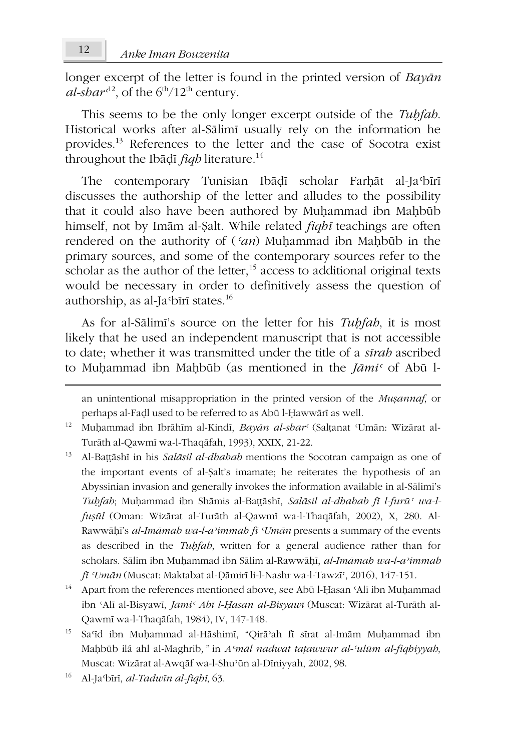longer excerpt of the letter is found in the printed version of *Bayān*  $al$ -sba $r^{d^2}$ , of the  $6^{th}/12^{th}$  century.

This seems to be the only longer excerpt outside of the *Tuḥfah*. Historical works after al-Sālimī usually rely on the information he provides.<sup>13</sup> References to the letter and the case of Socotra exist throughout the Ibāḍī *fiqh* literature.<sup>14</sup>

The contemporary Tunisian Ibāḍī scholar Farḥāt al-Jaʿbīrī discusses the authorship of the letter and alludes to the possibility that it could also have been authored by Muhammad ibn Mahbūb himself, not by Imām al-Ṣalt. While related *fiqhī* teachings are often rendered on the authority of (*ʿan*) Muḥammad ibn Maḥbūb in the primary sources, and some of the contemporary sources refer to the scholar as the author of the letter,<sup>15</sup> access to additional original texts would be necessary in order to definitively assess the question of authorship, as al-Jaʿbīrī states.<sup>16</sup>

As for al-Sālimī's source on the letter for his *Tuḥfah*, it is most likely that he used an independent manuscript that is not accessible to date; whether it was transmitted under the title of a *sīrah* ascribed to Muḥammad ibn Maḥbūb (as mentioned in the *Jāmiʿ* of Abū l-

an unintentional misappropriation in the printed version of the *Muṣannaf*, or perhaps al-Faḍl used to be referred to as Abū l-Ḥawwārī as well.

- <sup>12</sup> Muḥammad ibn Ibrāhīm al-Kindī, *Bayān al-sharʿ* (Salṭanat ʿUmān: Wizārat al-Turāth al-Qawmī wa-l-Thaqāfah, 1993), XXIX, 21-22.
- <sup>13</sup> Al-Baṭṭāshī in his *Salāsil al-dhahab* mentions the Socotran campaign as one of the important events of al-Ṣalt's imamate; he reiterates the hypothesis of an Abyssinian invasion and generally invokes the information available in al-Sālimī's *Tuḥfah*; Muḥammad ibn Shāmis al-Baṭṭāshī, *Salāsil al-dhahab fī l-furūʿ wa-lfuṣūl* (Oman: Wizārat al-Turāth al-Qawmī wa-l-Thaqāfah, 2002), X, 280. Al-Rawwāḥī's *al-Imāmah wa-l-aʾimmah fī ʿUmān* presents a summary of the events as described in the *Tuḥfah*, written for a general audience rather than for scholars. Sālim ibn Muḥammad ibn Sālim al-Rawwāḥī, *al-Imāmah wa-l-aʾimmah fī ʿUmān* (Muscat: Maktabat al-Ḍāmirī li-l-Nashr wa-l-Tawzīʿ, 2016), 147-151.
- <sup>14</sup> Apart from the references mentioned above, see Abū l-Ḥasan ʿAlī ibn Muḥammad ibn ʿAlī al-Bisyawī, *Jāmiʿ Abī l-Ḥasan al-Bisyawī* (Muscat: Wizārat al-Turāth al-Qawmī wa-l-Thaqāfah, 1984), IV, 147-148.
- <sup>15</sup> Saʿīd ibn Muḥammad al-Hāshimī, "Qirāʾah fī sīrat al-Imām Muḥammad ibn Maḥbūb ilá ahl al-Maghrib*,"* in *Aʿmāl nadwat taṭawwur al-ʿulūm al-fiqhiyyah*, Muscat: Wizārat al-Awqāf wa-l-Shuʾūn al-Dīniyyah, 2002, 98.
- <sup>16</sup> Al-Jaʿbīrī, *al-Tadwīn al-fiqhī*, 63.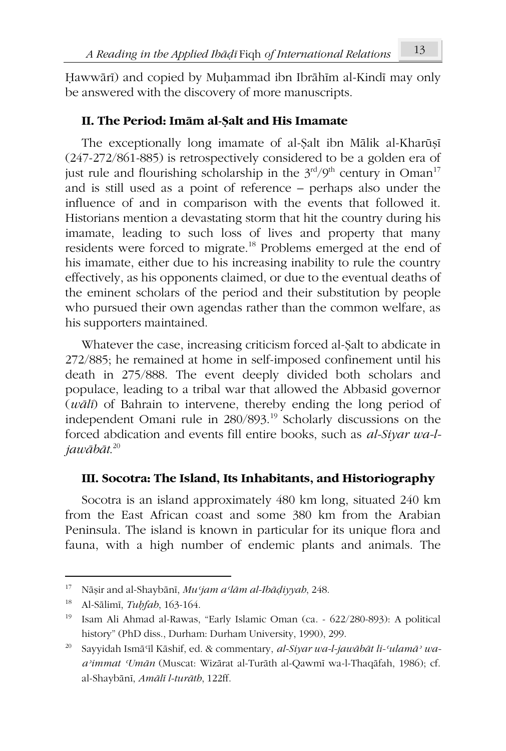Ḥawwārī) and copied by Muḥammad ibn Ibrāhīm al-Kindī may only be answered with the discovery of more manuscripts.

## **II. The Period: Imām al-Ṣalt and His Imamate**

The exceptionally long imamate of al-Ṣalt ibn Mālik al-Kharūṣī (247-272/861-885) is retrospectively considered to be a golden era of just rule and flourishing scholarship in the  $3<sup>rd</sup>/9<sup>th</sup>$  century in Oman<sup>17</sup> and is still used as a point of reference – perhaps also under the influence of and in comparison with the events that followed it. Historians mention a devastating storm that hit the country during his imamate, leading to such loss of lives and property that many residents were forced to migrate.<sup>18</sup> Problems emerged at the end of his imamate, either due to his increasing inability to rule the country effectively, as his opponents claimed, or due to the eventual deaths of the eminent scholars of the period and their substitution by people who pursued their own agendas rather than the common welfare, as his supporters maintained.

Whatever the case, increasing criticism forced al-Ṣalt to abdicate in 272/885; he remained at home in self-imposed confinement until his death in 275/888. The event deeply divided both scholars and populace, leading to a tribal war that allowed the Abbasid governor (*wālī*) of Bahrain to intervene, thereby ending the long period of independent Omani rule in 280/893.<sup>19</sup> Scholarly discussions on the forced abdication and events fill entire books, such as *al-Siyar wa-ljawābāt*. 20

## **III. Socotra: The Island, Its Inhabitants, and Historiography**

Socotra is an island approximately 480 km long, situated 240 km from the East African coast and some 380 km from the Arabian Peninsula. The island is known in particular for its unique flora and fauna, with a high number of endemic plants and animals. The

<sup>17</sup> Nāṣir and al-Shaybānī, *Muʿjam aʿlām al-Ibāḍiyyah*, 248.

<sup>18</sup> Al-Sālimī, *Tuḥfah*, 163-164.

<sup>19</sup> Isam Ali Ahmad al-Rawas, "Early Islamic Oman (ca. - 622/280-893): A political history" (PhD diss., Durham: Durham University, 1990), 299.

<sup>20</sup> Sayyidah Ismāʿīl Kāshif, ed. & commentary, *al-Siyar wa-l-jawābāt li-ʿulamāʾ waaʾimmat ʿUmān* (Muscat: Wizārat al-Turāth al-Qawmī wa-l-Thaqāfah, 1986); cf. al-Shaybānī, *Amālī l-turāth*, 122ff.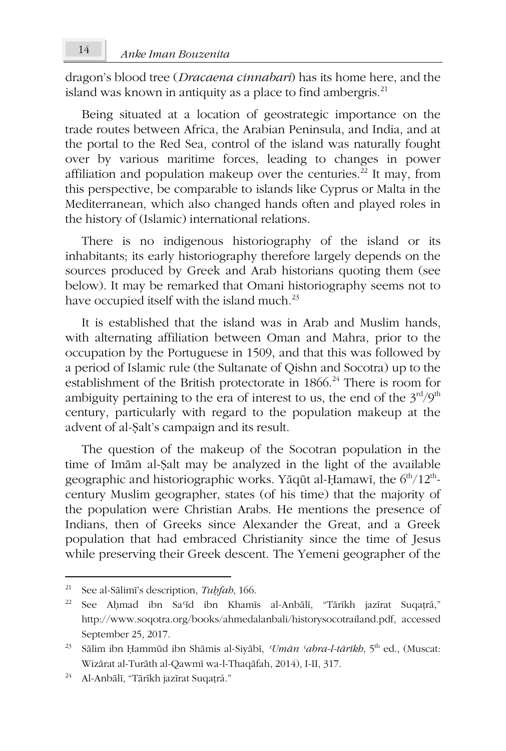dragon's blood tree (*Dracaena cinnabari*) has its home here, and the island was known in antiquity as a place to find ambergris. $^{21}$ 

Being situated at a location of geostrategic importance on the trade routes between Africa, the Arabian Peninsula, and India, and at the portal to the Red Sea, control of the island was naturally fought over by various maritime forces, leading to changes in power affiliation and population makeup over the centuries.<sup>22</sup> It may, from this perspective, be comparable to islands like Cyprus or Malta in the Mediterranean, which also changed hands often and played roles in the history of (Islamic) international relations.

There is no indigenous historiography of the island or its inhabitants; its early historiography therefore largely depends on the sources produced by Greek and Arab historians quoting them (see below). It may be remarked that Omani historiography seems not to have occupied itself with the island much.<sup>23</sup>

It is established that the island was in Arab and Muslim hands, with alternating affiliation between Oman and Mahra, prior to the occupation by the Portuguese in 1509, and that this was followed by a period of Islamic rule (the Sultanate of Qishn and Socotra) up to the establishment of the British protectorate in 1866.<sup>24</sup> There is room for ambiguity pertaining to the era of interest to us, the end of the  $3<sup>rd</sup>/9<sup>th</sup>$ century, particularly with regard to the population makeup at the advent of al-Ṣalt's campaign and its result.

The question of the makeup of the Socotran population in the time of Imām al-Ṣalt may be analyzed in the light of the available geographic and historiographic works. Yāqūt al-Ḥamawī, the 6 $^{\rm th}/12^{\rm th}$ century Muslim geographer, states (of his time) that the majority of the population were Christian Arabs. He mentions the presence of Indians, then of Greeks since Alexander the Great, and a Greek population that had embraced Christianity since the time of Jesus while preserving their Greek descent. The Yemeni geographer of the

<sup>21</sup> See al-Sālimī's description, *Tuḥfah*, 166.

<sup>22</sup> See Aḥmad ibn Saʿīd ibn Khamīs al-Anbālī, "Tārīkh jazīrat Suqaṭrá," http://www.soqotra.org/books/ahmedalanbali/historysocotrailand.pdf, accessed September 25, 2017.

<sup>23</sup> Sālim ibn Ḥammūd ibn Shāmis al-Siyābī, *ʿUmān ʿabra-l-tārīkh*, 5 th ed., (Muscat: Wizārat al-Turāth al-Qawmī wa-l-Thaqāfah, 2014), I-II, 317.

<sup>24</sup> Al-Anbālī, "Tārīkh jazīrat Suqaṭrá."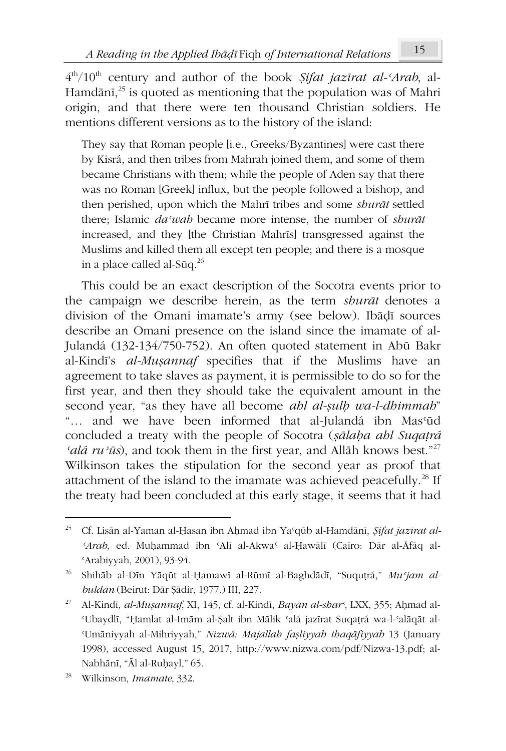4 th/10th century and author of the book *Ṣifat jazīrat al-ʿArab*, al-Hamdānī, $^{25}$  is quoted as mentioning that the population was of Mahri origin, and that there were ten thousand Christian soldiers. He mentions different versions as to the history of the island:

They say that Roman people [i.e., Greeks/Byzantines] were cast there by Kisrá, and then tribes from Mahrah joined them, and some of them became Christians with them; while the people of Aden say that there was no Roman [Greek] influx, but the people followed a bishop, and then perished, upon which the Mahrī tribes and some *shurāt* settled there; Islamic *daʿwah* became more intense, the number of *shurāt* increased, and they [the Christian Mahrīs] transgressed against the Muslims and killed them all except ten people; and there is a mosque in a place called al-Sūq.<sup>26</sup>

This could be an exact description of the Socotra events prior to the campaign we describe herein, as the term *shurāt* denotes a division of the Omani imamate's army (see below). Ibāḍī sources describe an Omani presence on the island since the imamate of al-Julandá (132-134/750-752). An often quoted statement in Abū Bakr al-Kindī's *al-Muṣannaf* specifies that if the Muslims have an agreement to take slaves as payment, it is permissible to do so for the first year, and then they should take the equivalent amount in the second year, "as they have all become *ahl al-ṣulḥ wa-l-dhimmah*" "… and we have been informed that al-Julandá ibn Masʿūd concluded a treaty with the people of Socotra (*ṣālaḥa ahl Suqaṭrá ʿalá ruʾūs*), and took them in the first year, and Allāh knows best."<sup>27</sup> Wilkinson takes the stipulation for the second year as proof that attachment of the island to the imamate was achieved peacefully. $^{28}$  If the treaty had been concluded at this early stage, it seems that it had

<sup>25</sup> Cf. Lisān al-Yaman al-Ḥasan ibn Aḥmad ibn Yaʿqūb al-Hamdānī, *Ṣifat jazīrat al-ʿArab,* ed. Muḥammad ibn ʿAlī al-Akwaʿ al-Ḥawālī (Cairo: Dār al-Āfāq al-ʿArabiyyah, 2001), 93-94.

<sup>26</sup> Shihāb al-Dīn Yāqūt al-Ḥamawī al-Rūmī al-Baghdādī, "Suquṭrá," *Muʿjam albuldān* (Beirut: Dār Ṣādir, 1977.) III, 227.

<sup>27</sup> Al-Kindī, *al-Muṣannaf*, XI, 145, cf. al-Kindī, *Bayān al-sharʿ*, LXX, 355; Aḥmad al-ʿUbaydlī, "Ḥamlat al-Imām al-Ṣalt ibn Mālik ʿalá jazīrat Suqaṭrá wa-l-ʿalāqāt al-ʿUmāniyyah al-Mihriyyah," *Nizwá: Majallah faṣliyyah thaqāfiyyah* 13 (January 1998), accessed August 15, 2017, http://www.nizwa.com/pdf/Nizwa-13.pdf; al-Nabhānī, "Āl al-Ruḥayl," 65.

<sup>28</sup> Wilkinson, *Imamate*, 332.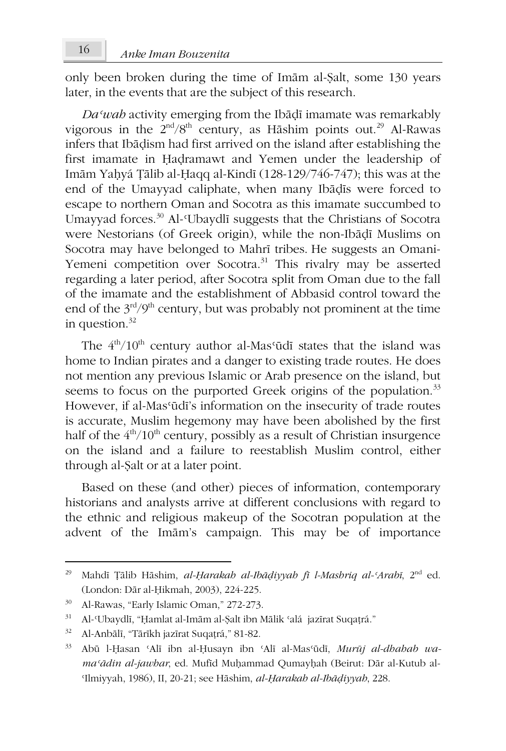only been broken during the time of Imām al-Ṣalt, some 130 years later, in the events that are the subject of this research.

*Daʿwah* activity emerging from the Ibāḍī imamate was remarkably vigorous in the  $2<sup>nd</sup>/8<sup>th</sup>$  century, as Hāshim points out.<sup>29</sup> Al-Rawas infers that Ibāḍism had first arrived on the island after establishing the first imamate in Ḥaḍramawt and Yemen under the leadership of Imām Yaḥyá Ṭālib al-Ḥaqq al-Kindī (128-129/746-747); this was at the end of the Umayyad caliphate, when many Ibāḍīs were forced to escape to northern Oman and Socotra as this imamate succumbed to Umayyad forces.<sup>30</sup> Al-<sup>*c*</sup>Ubaydlī suggests that the Christians of Socotra were Nestorians (of Greek origin), while the non-Ibāḍī Muslims on Socotra may have belonged to Mahrī tribes. He suggests an Omani-Yemeni competition over Socotra.<sup>31</sup> This rivalry may be asserted regarding a later period, after Socotra split from Oman due to the fall of the imamate and the establishment of Abbasid control toward the end of the  $3^{\text{rd}}/9^{\text{th}}$  century, but was probably not prominent at the time in question. $32$ 

The  $4<sup>th</sup>/10<sup>th</sup>$  century author al-Mas<sup>*c*</sup>ūdī states that the island was home to Indian pirates and a danger to existing trade routes. He does not mention any previous Islamic or Arab presence on the island, but seems to focus on the purported Greek origins of the population.<sup>33</sup> However, if al-Masʿūdī's information on the insecurity of trade routes is accurate, Muslim hegemony may have been abolished by the first half of the  $4<sup>th</sup>/10<sup>th</sup>$  century, possibly as a result of Christian insurgence on the island and a failure to reestablish Muslim control, either through al-Ṣalt or at a later point.

Based on these (and other) pieces of information, contemporary historians and analysts arrive at different conclusions with regard to the ethnic and religious makeup of the Socotran population at the advent of the Imām's campaign. This may be of importance

<sup>29</sup> Mahdī Ṭālib Hāshim, *al-Ḥarakah al-Ibāḍiyyah fī l-Mashriq al-ʿArabī*, 2nd ed. (London: Dār al-Ḥikmah, 2003), 224-225.

<sup>&</sup>lt;sup>30</sup> Al-Rawas, "Early Islamic Oman," 272-273.

 $31$  Al-Ubaydlī, "Hamlat al-Imām al-Salt ibn Mālik 'alá jazīrat Suqatrá."

<sup>32</sup> Al-Anbālī, "Tārīkh jazīrat Suqaṭrá," 81-82.

<sup>33</sup> Abū l-Ḥasan ʿAlī ibn al-Ḥusayn ibn ʿAlī al-Masʿūdī, *Murūj al-dhahab wamaʿādin al-jawhar*, ed. Mufīd Muḥammad Qumayḥah (Beirut: Dār al-Kutub al-ʿIlmiyyah, 1986), II, 20-21; see Hāshim, *al-Ḥarakah al-Ibāḍiyyah*, 228.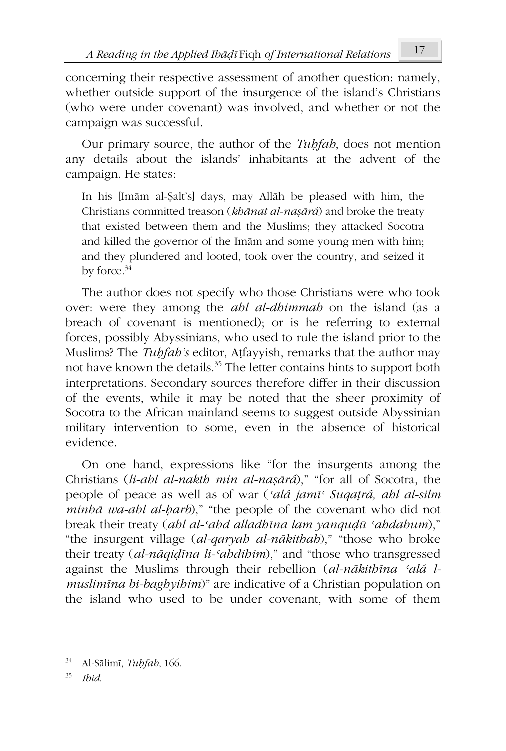concerning their respective assessment of another question: namely, whether outside support of the insurgence of the island's Christians (who were under covenant) was involved, and whether or not the campaign was successful.

Our primary source, the author of the *Tuḥfah*, does not mention any details about the islands' inhabitants at the advent of the campaign. He states:

In his [Imām al-Ṣalt's] days, may Allāh be pleased with him, the Christians committed treason (*khānat al-naṣārá*) and broke the treaty that existed between them and the Muslims; they attacked Socotra and killed the governor of the Imām and some young men with him; and they plundered and looted, took over the country, and seized it by force.<sup>34</sup>

The author does not specify who those Christians were who took over: were they among the *ahl al-dhimmah* on the island (as a breach of covenant is mentioned); or is he referring to external forces, possibly Abyssinians, who used to rule the island prior to the Muslims? The *Tuḥfah's* editor, Aṭfayyish, remarks that the author may not have known the details.<sup>35</sup> The letter contains hints to support both interpretations. Secondary sources therefore differ in their discussion of the events, while it may be noted that the sheer proximity of Socotra to the African mainland seems to suggest outside Abyssinian military intervention to some, even in the absence of historical evidence.

On one hand, expressions like "for the insurgents among the Christians (*li-ahl al-nakth min al-naṣārá*)," "for all of Socotra, the people of peace as well as of war (*ʿalá jamīʿ Suqaṭrá, ahl al-silm minhā wa-ahl al-ḥarb*)," "the people of the covenant who did not break their treaty (*ahl al-ʿahd alladhīna lam yanquḍū ʿahdahum*)," "the insurgent village (*al-qaryah al-nākithah*)," "those who broke their treaty (*al-nāqiḍīna li-ʿahdihim*)," and "those who transgressed against the Muslims through their rebellion (*al-nākithīna ʿalá lmuslimīna bi-baghyihim*)" are indicative of a Christian population on the island who used to be under covenant, with some of them

<sup>34</sup> Al-Sālimī, *Tuḥfah*, 166.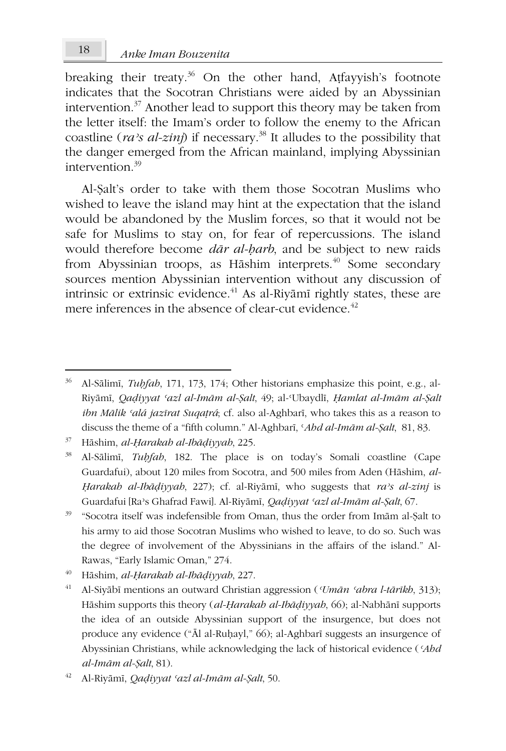breaking their treaty.<sup>36</sup> On the other hand, Atfayyish's footnote indicates that the Socotran Christians were aided by an Abyssinian intervention. $37$  Another lead to support this theory may be taken from the letter itself: the Imam's order to follow the enemy to the African coastline ( $ra$ <sup>2</sup>*s al-zinj*) if necessary.<sup>38</sup> It alludes to the possibility that the danger emerged from the African mainland, implying Abyssinian intervention  $39$ 

Al-Ṣalt's order to take with them those Socotran Muslims who wished to leave the island may hint at the expectation that the island would be abandoned by the Muslim forces, so that it would not be safe for Muslims to stay on, for fear of repercussions. The island would therefore become *dār al-ḥarb*, and be subject to new raids from Abyssinian troops, as Hāshim interprets.<sup>40</sup> Some secondary sources mention Abyssinian intervention without any discussion of intrinsic or extrinsic evidence. $41$  As al-Riyāmī rightly states, these are mere inferences in the absence of clear-cut evidence. $42$ 

<sup>37</sup> Hāshim, *al-Ḥarakah al-Ibāḍiyyah*, 225.

<sup>38</sup> Al-Sālimī, *Tuḥfah*, 182. The place is on today's Somali coastline (Cape Guardafui), about 120 miles from Socotra, and 500 miles from Aden (Hāshim, *al-Ḥarakah al-Ibāḍiyyah*, 227); cf. al-Riyāmī, who suggests that *raʾs al-zinj* is Guardafui [Raʾs Ghafrad Fawi]. Al-Riyāmī, *Qaḍiyyat ʿazl al-Imām al-Ṣalt*, 67.

- <sup>39</sup> "Socotra itself was indefensible from Oman, thus the order from Imām al-Ṣalt to his army to aid those Socotran Muslims who wished to leave, to do so. Such was the degree of involvement of the Abyssinians in the affairs of the island." Al-Rawas, "Early Islamic Oman," 274.
- <sup>40</sup> Hāshim, *al-Ḥarakah al-Ibāḍiyyah*, 227.
- <sup>41</sup> Al-Siyābī mentions an outward Christian aggression (*ʿUmān ʿabra l-tārīkh*, 313); Hāshim supports this theory (*al-Ḥarakah al-Ibāḍiyyah*, 66); al-Nabhānī supports the idea of an outside Abyssinian support of the insurgence, but does not produce any evidence ("Āl al-Ruḥayl," 66); al-Aghbarī suggests an insurgence of Abyssinian Christians, while acknowledging the lack of historical evidence (*ʿAhd al-Imām al-Ṣalt*, 81).

<sup>36</sup> Al-Sālimī, *Tuḥfah*, 171, 173, 174; Other historians emphasize this point, e.g., al-Riyāmī, *Qaḍiyyat ʿazl al-Imām al-Ṣalt*, 49; al-ʿUbaydlī, *Ḥamlat al-Imām al-Ṣalt ibn Mālik ʿalá jazīrat Suqaṭrá*; cf. also al-Aghbarī, who takes this as a reason to discuss the theme of a "fifth column." Al-Aghbarī, ʿ*Ahd al-Imām al-Ṣalt*, 81, 83.

<sup>42</sup> Al-Riyāmī, *Qaḍiyyat ʿazl al-Imām al-Ṣalt*, 50.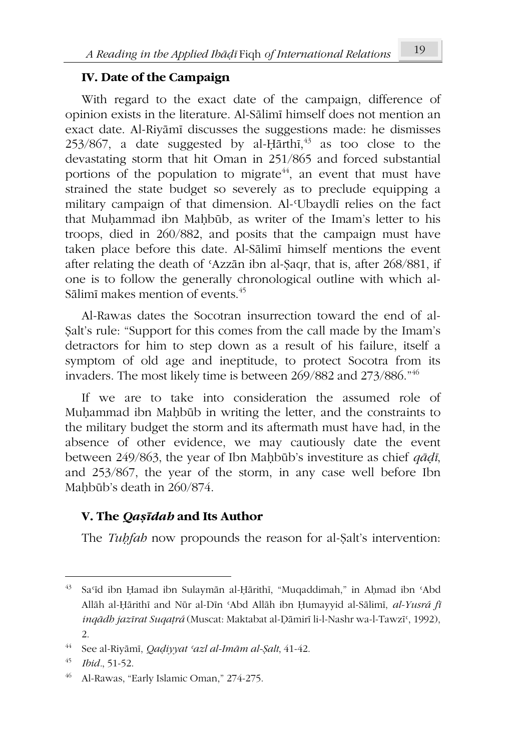## **IV. Date of the Campaign**

With regard to the exact date of the campaign, difference of opinion exists in the literature. Al-Sālimī himself does not mention an exact date. Al-Riyāmī discusses the suggestions made: he dismisses  $253/867$ , a date suggested by al-Ḥārthī, $^{43}$  as too close to the devastating storm that hit Oman in 251/865 and forced substantial portions of the population to migrate $44$ , an event that must have strained the state budget so severely as to preclude equipping a military campaign of that dimension. Al-*Ubaydli* relies on the fact that Muhammad ibn Mahbūb, as writer of the Imam's letter to his troops, died in 260/882, and posits that the campaign must have taken place before this date. Al-Sālimī himself mentions the event after relating the death of ʿAzzān ibn al-Ṣaqr, that is, after 268/881, if one is to follow the generally chronological outline with which al-Sālimī makes mention of events.<sup>45</sup>

Al-Rawas dates the Socotran insurrection toward the end of al-Ṣalt's rule: "Support for this comes from the call made by the Imam's detractors for him to step down as a result of his failure, itself a symptom of old age and ineptitude, to protect Socotra from its invaders. The most likely time is between 269/882 and 273/886."<sup>46</sup>

If we are to take into consideration the assumed role of Muḥammad ibn Maḥbūb in writing the letter, and the constraints to the military budget the storm and its aftermath must have had, in the absence of other evidence, we may cautiously date the event between 249/863, the year of Ibn Maḥbūb's investiture as chief *qāḍī*, and 253/867, the year of the storm, in any case well before Ibn Mahbūb's death in 260/874.

# **V. The** *Qaṣīdah* **and Its Author**

The *Tuḥfah* now propounds the reason for al-Ṣalt's intervention:

<sup>43</sup> Saʿīd ibn Ḥamad ibn Sulaymān al-Ḥārithī, "Muqaddimah," in Aḥmad ibn ʿAbd Allāh al-Ḥārithī and Nūr al-Dīn ʿAbd Allāh ibn Ḥumayyid al-Sālimī, *al-Yusrá fī inqādh jazīrat Suqaṭrá* (Muscat: Maktabat al-Ḍāmirī li-l-Nashr wa-l-Tawzīʿ, 1992), 2.

<sup>44</sup> See al-Riyāmī, *Qaḍiyyat ʿazl al-Imām al-Ṣalt*, 41-42.

<sup>45</sup> *Ibid.*, 51-52.

<sup>46</sup> Al-Rawas, "Early Islamic Oman," 274-275.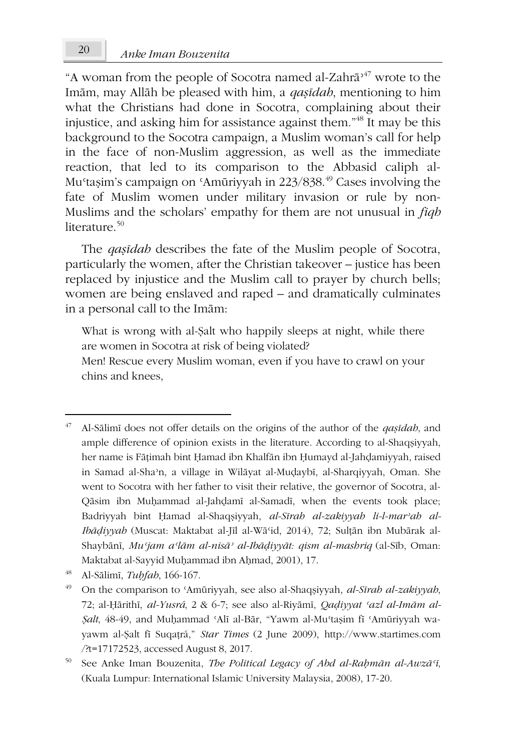"A woman from the people of Socotra named al-Zahrā<sup> $47$ </sup> wrote to the Imām, may Allāh be pleased with him, a *qaṣīdah*, mentioning to him what the Christians had done in Socotra, complaining about their injustice, and asking him for assistance against them."<sup>48</sup> It may be this background to the Socotra campaign, a Muslim woman's call for help in the face of non-Muslim aggression, as well as the immediate reaction, that led to its comparison to the Abbasid caliph al-Mu'taṣim's campaign on 'Amūriyyah in 223/838.<sup>49</sup> Cases involving the fate of Muslim women under military invasion or rule by non-Muslims and the scholars' empathy for them are not unusual in *fiqh* literature.<sup>50</sup>

The *qaṣīdah* describes the fate of the Muslim people of Socotra, particularly the women, after the Christian takeover – justice has been replaced by injustice and the Muslim call to prayer by church bells; women are being enslaved and raped – and dramatically culminates in a personal call to the Imām:

What is wrong with al-Şalt who happily sleeps at night, while there are women in Socotra at risk of being violated? Men! Rescue every Muslim woman, even if you have to crawl on your chins and knees,

<sup>47</sup> Al-Sālimī does not offer details on the origins of the author of the *qaṣīdah*, and ample difference of opinion exists in the literature. According to al-Shaqṣiyyah, her name is Fāṭimah bint Ḥamad ibn Khalfān ibn Ḥumayd al-Jahḍamiyyah, raised in Samad al-Shaʾn, a village in Wilāyat al-Muḍaybī, al-Sharqiyyah, Oman. She went to Socotra with her father to visit their relative, the governor of Socotra, al-Qāsim ibn Muḥammad al-Jahḍamī al-Samadī, when the events took place; Badriyyah bint Ḥamad al-Shaqṣiyyah, *al-Sīrah al-zakiyyah li-l-marʾah al-Ibāḍiyyah* (Muscat: Maktabat al-Jīl al-Wāʿid, 2014), 72; Sulṭān ibn Mubārak al-Shaybānī, *Muʿjam aʿlām al-nisāʾ al-Ibāḍiyyāt: qism al-mashriq* (al-Sīb, Oman: Maktabat al-Sayyid Muḥammad ibn Aḥmad, 2001), 17.

<sup>48</sup> Al-Sālimī, *Tuḥfah*, 166-167.

<sup>49</sup> On the comparison to ʿAmūriyyah, see also al-Shaqṣiyyah, *al-Sīrah al-zakiyyah*, 72; al-Ḥārithī, *al-Yusrá*, 2 & 6-7; see also al-Riyāmī, *Qaḍiyyat ʿazl al-Imām al-Ṣalt*, 48-49, and Muḥammad ʿAlī al-Bār, "Yawm al-Muʿtaṣim fī ʿAmūriyyah wayawm al-Ṣalt fī Suqaṭrá," *Star Times* (2 June 2009), http://www.startimes.com /?t=17172523, accessed August 8, 2017.

<sup>50</sup> See Anke Iman Bouzenita, *The Political Legacy of Abd al-Raḥmān al-Awzāʿī*, (Kuala Lumpur: International Islamic University Malaysia, 2008), 17-20.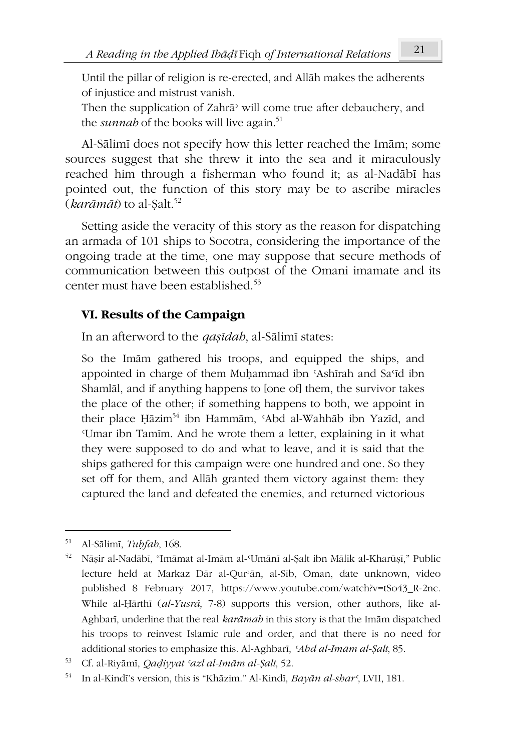Until the pillar of religion is re-erected, and Allāh makes the adherents of injustice and mistrust vanish.

Then the supplication of Zahrā<sup>3</sup> will come true after debauchery, and the *sunnah* of the books will live again.<sup>51</sup>

Al-Sālimī does not specify how this letter reached the Imām; some sources suggest that she threw it into the sea and it miraculously reached him through a fisherman who found it; as al-Nadābī has pointed out, the function of this story may be to ascribe miracles  $(kar\bar{a}m\bar{a}t)$  to al-Salt.<sup>52</sup>

Setting aside the veracity of this story as the reason for dispatching an armada of 101 ships to Socotra, considering the importance of the ongoing trade at the time, one may suppose that secure methods of communication between this outpost of the Omani imamate and its center must have been established.<sup>53</sup>

## **VI. Results of the Campaign**

In an afterword to the *qaṣīdah*, al-Sālimī states:

So the Imām gathered his troops, and equipped the ships, and appointed in charge of them Muḥammad ibn ʿAshīrah and Saʿīd ibn Shamlāl, and if anything happens to [one of] them, the survivor takes the place of the other; if something happens to both, we appoint in their place Hāzim<sup>54</sup> ibn Hammām, 'Abd al-Wahhāb ibn Yazīd, and ʿUmar ibn Tamīm. And he wrote them a letter, explaining in it what they were supposed to do and what to leave, and it is said that the ships gathered for this campaign were one hundred and one*.* So they set off for them, and Allāh granted them victory against them: they captured the land and defeated the enemies, and returned victorious

<sup>51</sup> Al-Sālimī, *Tuḥfah*, 168.

<sup>52</sup> Nāṣir al-Nadābī, "Imāmat al-Imām al-ʿUmānī al-Ṣalt ibn Mālik al-Kharūṣī," Public lecture held at Markaz Dār al-Qurʾān, al-Sīb, Oman, date unknown, video published 8 February 2017, https://www.youtube.com/watch?v=tSo43\_R-2nc. While al-Ḥārthī (*al-Yusrá,* 7-8) supports this version, other authors, like al-Aghbarī, underline that the real *karāmah* in this story is that the Imām dispatched his troops to reinvest Islamic rule and order, and that there is no need for additional stories to emphasize this. Al-Aghbarī, *ʿAhd al-Imām al-Ṣalt*, 85.

<sup>53</sup> Cf. al-Riyāmī, *Qaḍiyyat ʿazl al-Imām al-Ṣalt*, 52.

<sup>54</sup> In al-Kindī's version, this is "Khāzim." Al-Kindī, *Bayān al-sharʿ*, LVII, 181.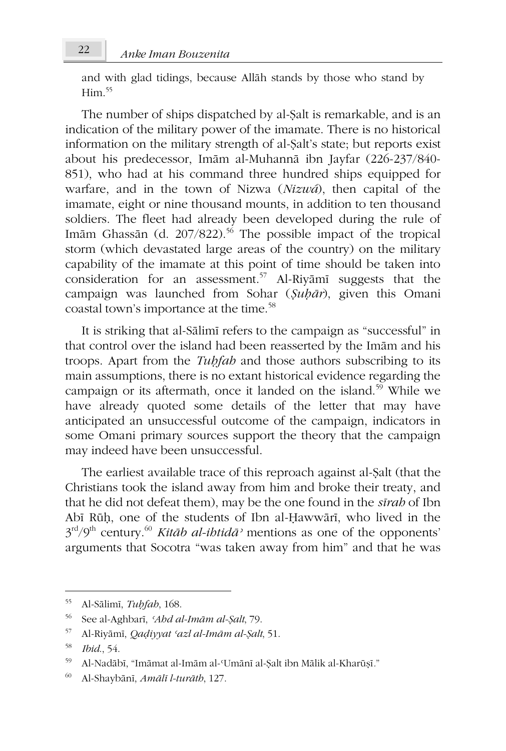and with glad tidings, because Allāh stands by those who stand by  $H<sub>im</sub>$  55

The number of ships dispatched by al-Ṣalt is remarkable, and is an indication of the military power of the imamate. There is no historical information on the military strength of al-Ṣalt's state; but reports exist about his predecessor, Imām al-Muhannā ibn Jayfar (226-237/840- 851), who had at his command three hundred ships equipped for warfare, and in the town of Nizwa (*Nizwá*), then capital of the imamate, eight or nine thousand mounts, in addition to ten thousand soldiers. The fleet had already been developed during the rule of Imām Ghassān (d. 207/822).<sup>56</sup> The possible impact of the tropical storm (which devastated large areas of the country) on the military capability of the imamate at this point of time should be taken into consideration for an assessment.<sup>57</sup> Al-Riyāmī suggests that the campaign was launched from Sohar (*Ṣuḥār*), given this Omani coastal town's importance at the time.<sup>58</sup>

It is striking that al-Sālimī refers to the campaign as "successful" in that control over the island had been reasserted by the Imām and his troops. Apart from the *Tuḥfah* and those authors subscribing to its main assumptions, there is no extant historical evidence regarding the campaign or its aftermath, once it landed on the island.<sup>59</sup> While we have already quoted some details of the letter that may have anticipated an unsuccessful outcome of the campaign, indicators in some Omani primary sources support the theory that the campaign may indeed have been unsuccessful.

The earliest available trace of this reproach against al-Ṣalt (that the Christians took the island away from him and broke their treaty, and that he did not defeat them), may be the one found in the *sīrah* of Ibn Abī Rūḥ, one of the students of Ibn al-Ḥawwārī, who lived in the 3 rd/9th century.<sup>60</sup> *Kitāb al-ihtidāʾ* mentions as one of the opponents' arguments that Socotra "was taken away from him" and that he was

<sup>55</sup> Al-Sālimī, *Tuḥfah*, 168.

<sup>56</sup> See al-Aghbarī, *ʿAhd al-Imām al-Ṣalt*, 79.

<sup>57</sup> Al-Riyāmī, *Qaḍiyyat ʿazl al-Imām al-Ṣalt*, 51.

<sup>58</sup> *Ibid*., 54.

<sup>59</sup> Al-Nadābī, "Imāmat al-Imām al-ʿUmānī al-Ṣalt ibn Mālik al-Kharūṣī*.*"

<sup>60</sup> Al-Shaybānī, *Amālī l-turāth*, 127.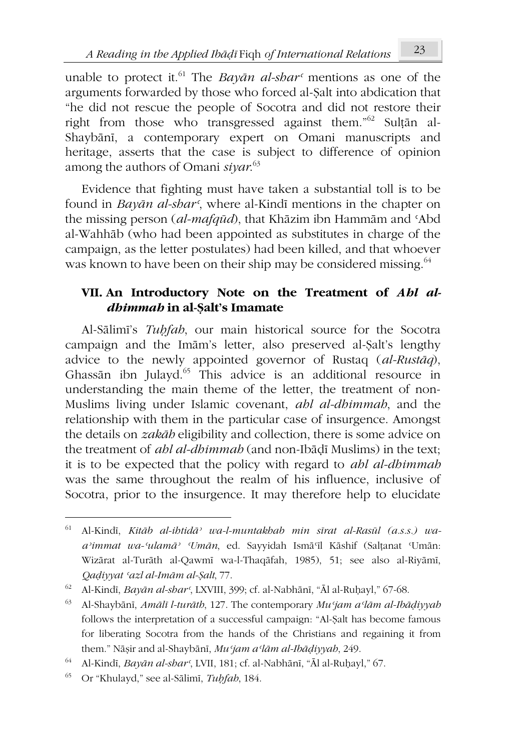unable to protect it.<sup>61</sup> The *Bayan al-shar*<sup> $\epsilon$ </sup> mentions as one of the arguments forwarded by those who forced al-Ṣalt into abdication that "he did not rescue the people of Socotra and did not restore their right from those who transgressed against them."<sup>62</sup> Sultān al-Shaybānī, a contemporary expert on Omani manuscripts and heritage, asserts that the case is subject to difference of opinion among the authors of Omani *siyar*. 63

Evidence that fighting must have taken a substantial toll is to be found in *Bayān al-sharʿ*, where al-Kindī mentions in the chapter on the missing person (*al-mafqūd*), that Khāzim ibn Hammām and ʿAbd al-Wahhāb (who had been appointed as substitutes in charge of the campaign, as the letter postulates) had been killed, and that whoever was known to have been on their ship may be considered missing.<sup>64</sup>

# **VII. An Introductory Note on the Treatment of** *Ahl aldhimmah* **in al-Ṣalt's Imamate**

Al-Sālimī's *Tuḥfah*, our main historical source for the Socotra campaign and the Imām's letter, also preserved al-Ṣalt's lengthy advice to the newly appointed governor of Rustaq (*al-Rustāq*), Ghassān ibn Julayd.<sup>65</sup> This advice is an additional resource in understanding the main theme of the letter, the treatment of non-Muslims living under Islamic covenant, *ahl al-dhimmah*, and the relationship with them in the particular case of insurgence. Amongst the details on *zakāh* eligibility and collection, there is some advice on the treatment of *ahl al-dhimmah* (and non-Ibāḍī Muslims) in the text; it is to be expected that the policy with regard to *ahl al-dhimmah* was the same throughout the realm of his influence, inclusive of Socotra, prior to the insurgence. It may therefore help to elucidate

<sup>61</sup> Al-Kindī, *Kitāb al-ihtidāʾ wa-l-muntakhab min sīrat al-Rasūl (a.s.s.) waaʾimmat wa-ʿulamāʾ ʿUmān*, ed. Sayyidah Ismāʿīl Kāshif (Salṭanat ʿUmān: Wizārat al-Turāth al-Qawmī wa-l-Thaqāfah, 1985), 51; see also al-Riyāmī, *Qaḍiyyat ʿazl al-Imām al-Ṣalt*, 77.

<sup>62</sup> Al-Kindī, *Bayān al-sharʿ*, LXVIII, 399; cf. al-Nabhānī, "Āl al-Ruḥayl," 67-68.

<sup>63</sup> Al-Shaybānī, *Amālī l-turāth*, 127. The contemporary *Muʿjam aʿlām al-Ibāḍiyyah* follows the interpretation of a successful campaign: "Al-Ṣalt has become famous for liberating Socotra from the hands of the Christians and regaining it from them." Nāṣir and al-Shaybānī, *Muʿjam aʿlām al-Ibāḍiyyah*, 249.

<sup>64</sup> Al-Kindī, *Bayān al-sharʿ*, LVII, 181; cf. al-Nabhānī, "Āl al-Ruḥayl," 67.

<sup>65</sup> Or "Khulayd," see al-Sālimī, *Tuḥfah*, 184.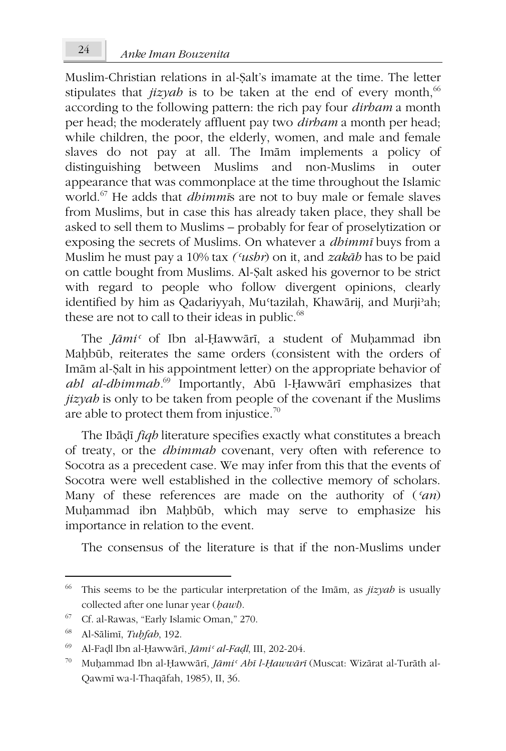Muslim-Christian relations in al-Ṣalt's imamate at the time. The letter stipulates that  $jizyab$  is to be taken at the end of every month,<sup>66</sup> according to the following pattern: the rich pay four *dirham* a month per head; the moderately affluent pay two *dirham* a month per head; while children, the poor, the elderly, women, and male and female slaves do not pay at all. The Imām implements a policy of distinguishing between Muslims and non-Muslims in outer appearance that was commonplace at the time throughout the Islamic world.<sup>67</sup> He adds that *dhimmī*s are not to buy male or female slaves from Muslims, but in case this has already taken place, they shall be asked to sell them to Muslims – probably for fear of proselytization or exposing the secrets of Muslims. On whatever a *dhimmī* buys from a Muslim he must pay a 10% tax *(ʿushr*) on it, and *zakāh* has to be paid on cattle bought from Muslims. Al-Ṣalt asked his governor to be strict with regard to people who follow divergent opinions, clearly identified by him as Qadariyyah, Muʿtazilah, Khawārij, and Murjiʾah; these are not to call to their ideas in public.<sup>68</sup>

The *Jāmiʿ* of Ibn al-Ḥawwārī, a student of Muḥammad ibn Maḥbūb, reiterates the same orders (consistent with the orders of Imām al-Ṣalt in his appointment letter) on the appropriate behavior of *ahl al-dhimmah.*<sup>69</sup> Importantly, Abū l-Ḥawwārī emphasizes that *jizyah* is only to be taken from people of the covenant if the Muslims are able to protect them from injustice.<sup>70</sup>

The Ibāḍī *fiqh* literature specifies exactly what constitutes a breach of treaty, or the *dhimmah* covenant, very often with reference to Socotra as a precedent case. We may infer from this that the events of Socotra were well established in the collective memory of scholars. Many of these references are made on the authority of (*ʿan*) Muḥammad ibn Maḥbūb, which may serve to emphasize his importance in relation to the event.

The consensus of the literature is that if the non-Muslims under

<sup>66</sup> This seems to be the particular interpretation of the Imām, as *jizyah* is usually collected after one lunar year (*ḥawl*).

<sup>67</sup> Cf. al-Rawas, "Early Islamic Oman," 270.

<sup>68</sup> Al-Sālimī, *Tuḥfah*, 192.

<sup>69</sup> Al-Faḍl Ibn al-Ḥawwārī, *Jāmiʿ al-Faḍl*, III, 202-204.

<sup>70</sup> Muḥammad Ibn al-Ḥawwārī, *Jāmiʿ Abī l-Ḥawwārī* (Muscat: Wizārat al-Turāth al-Qawmī wa-l-Thaqāfah, 1985), II, 36.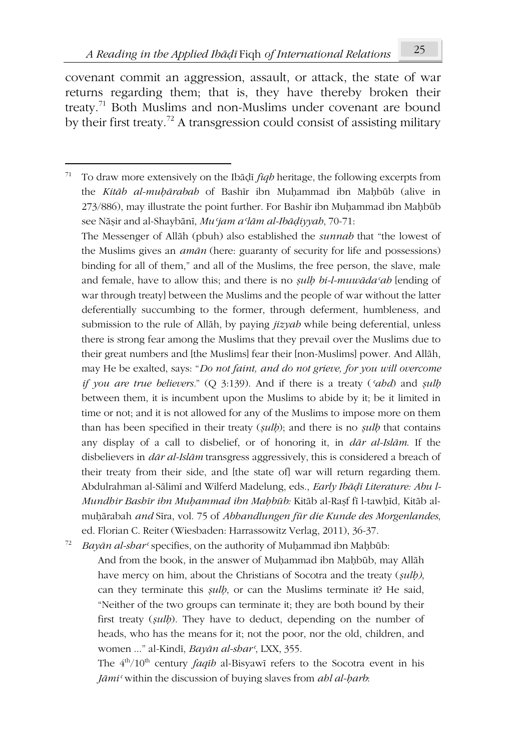covenant commit an aggression, assault, or attack, the state of war returns regarding them; that is, they have thereby broken their treaty.<sup>71</sup> Both Muslims and non-Muslims under covenant are bound by their first treaty.<sup>72</sup> A transgression could consist of assisting military

The Messenger of Allāh (pbuh) also established the *sunnah* that "the lowest of the Muslims gives an *amān* (here: guaranty of security for life and possessions) binding for all of them," and all of the Muslims, the free person, the slave, male and female, have to allow this; and there is no *sulb bi-l-muw* $\bar{a}da$ <sup>*cah*</sup> [ending of war through treaty] between the Muslims and the people of war without the latter deferentially succumbing to the former, through deferment, humbleness, and submission to the rule of Allāh, by paying *jizyah* while being deferential, unless there is strong fear among the Muslims that they prevail over the Muslims due to their great numbers and [the Muslims] fear their [non-Muslims] power. And Allāh, may He be exalted, says: "*Do not faint, and do not grieve, for you will overcome if you are true believers.*" (Q 3:139). And if there is a treaty (*ʿahd*) and *ṣulḥ* between them, it is incumbent upon the Muslims to abide by it; be it limited in time or not; and it is not allowed for any of the Muslims to impose more on them than has been specified in their treaty (*ṣulḥ*); and there is no *ṣulḥ* that contains any display of a call to disbelief, or of honoring it, in *dār al-Islām*. If the disbelievers in *dār al-Islām* transgress aggressively, this is considered a breach of their treaty from their side, and [the state of] war will return regarding them. Abdulrahman al-Sālimī and Wilferd Madelung, eds., *Early Ibāḍī Literature: Abu l-Mundhir Bashīr ibn Muḥammad ibn Maḥbūb:* Kitāb al-Raṣf fī l-tawḥīd*,* Kitāb almuḥārabah *and* Sīra, vol. 75 of *Abhandlungen für die Kunde des Morgenlandes*, ed. Florian C. Reiter (Wiesbaden: Harrassowitz Verlag, 2011), 36-37.

<sup>72</sup> *Bayān al-sharʿ* specifies, on the authority of Muḥammad ibn Maḥbūb:

And from the book, in the answer of Muḥammad ibn Maḥbūb, may Allāh have mercy on him, about the Christians of Socotra and the treaty (*ṣulḥ)*, can they terminate this *ṣulḥ*, or can the Muslims terminate it? He said, "Neither of the two groups can terminate it; they are both bound by their first treaty (*ṣulḥ*). They have to deduct, depending on the number of heads, who has the means for it; not the poor, nor the old, children, and women ..." al-Kindī, *Bayān al-sharʿ*, LXX, 355.

The  $4<sup>th</sup>/10<sup>th</sup>$  century *faqīb* al-Bisyawī refers to the Socotra event in his *Jāmiʿ* within the discussion of buying slaves from *ahl al-ḥarb*:

<sup>71</sup> To draw more extensively on the Ibāḍī *fiqh* heritage, the following excerpts from the *Kitāb al-muḥārabah* of Bashīr ibn Muḥammad ibn Maḥbūb (alive in 273/886), may illustrate the point further. For Bashīr ibn Muḥammad ibn Maḥbūb see Nāṣir and al-Shaybānī, *Muʿjam aʿlām al-Ibāḍiyyah*, 70-71: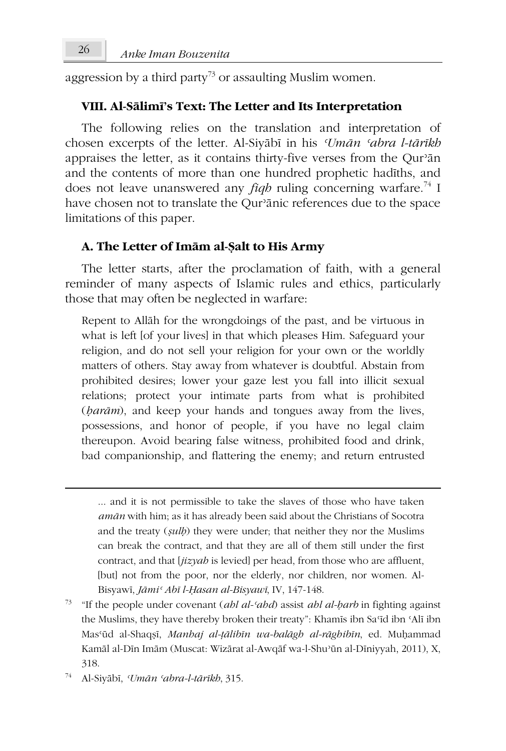aggression by a third party<sup>73</sup> or assaulting Muslim women.

### **VIII. Al-Sālimī's Text: The Letter and Its Interpretation**

The following relies on the translation and interpretation of chosen excerpts of the letter. Al-Siyābī in his *ʿUmān ʿabra l-tārīkh* appraises the letter, as it contains thirty-five verses from the Qurʾān and the contents of more than one hundred prophetic hadīths, and does not leave unanswered any *fiqh* ruling concerning warfare.<sup>74</sup> I have chosen not to translate the Qurʾānic references due to the space limitations of this paper.

### **A. The Letter of Imām al-Ṣalt to His Army**

The letter starts, after the proclamation of faith, with a general reminder of many aspects of Islamic rules and ethics, particularly those that may often be neglected in warfare:

Repent to Allāh for the wrongdoings of the past, and be virtuous in what is left [of your lives] in that which pleases Him. Safeguard your religion, and do not sell your religion for your own or the worldly matters of others. Stay away from whatever is doubtful. Abstain from prohibited desires; lower your gaze lest you fall into illicit sexual relations; protect your intimate parts from what is prohibited (*ḥarām*), and keep your hands and tongues away from the lives, possessions, and honor of people, if you have no legal claim thereupon. Avoid bearing false witness, prohibited food and drink, bad companionship, and flattering the enemy; and return entrusted

<sup>...</sup> and it is not permissible to take the slaves of those who have taken *amān* with him; as it has already been said about the Christians of Socotra and the treaty (*ṣulḥ*) they were under; that neither they nor the Muslims can break the contract, and that they are all of them still under the first contract, and that [*jizyah* is levied] per head, from those who are affluent, [but] not from the poor, nor the elderly, nor children, nor women. Al-Bisyawī, *Jāmiʿ Abī l-Ḥasan al-Bisyawī*, IV, 147-148.

<sup>73</sup> "If the people under covenant (*ahl al-ʿahd*) assist *ahl al-ḥarb* in fighting against the Muslims, they have thereby broken their treaty": Khamīs ibn Saʿīd ibn ʿAlī ibn Masʿūd al-Shaqṣī, *Manhaj al-ṭālibīn wa-balāgh al-rāghibīn*, ed. Muḥammad Kamāl al-Dīn Imām (Muscat: Wizārat al-Awqāf wa-l-Shuʾūn al-Dīniyyah, 2011), X, 318.

<sup>74</sup> Al-Siyābī, *ʿUmān ʿabra-l-tārīkh*, 315.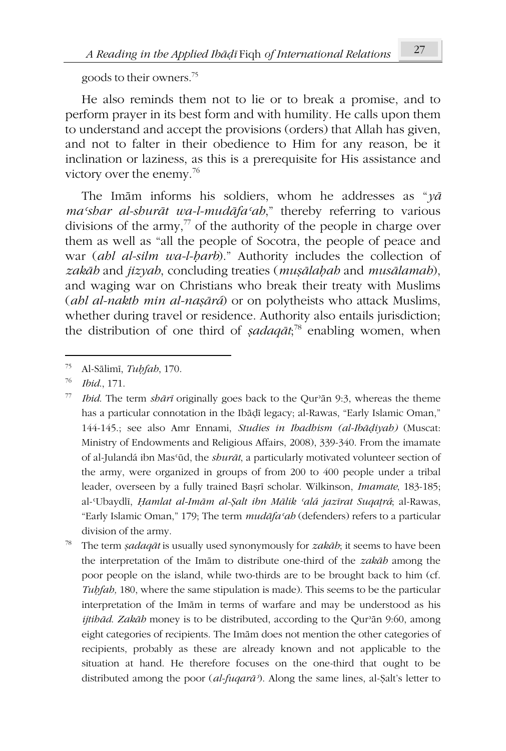goods to their owners.<sup>75</sup>

He also reminds them not to lie or to break a promise, and to perform prayer in its best form and with humility. He calls upon them to understand and accept the provisions (orders) that Allah has given, and not to falter in their obedience to Him for any reason, be it inclination or laziness, as this is a prerequisite for His assistance and victory over the enemy.<sup>76</sup>

The Imām informs his soldiers, whom he addresses as "*yā maʿshar al-shurāt wa-l-mudāfaʿah*," thereby referring to various divisions of the army, $\frac{7}{7}$  of the authority of the people in charge over them as well as "all the people of Socotra, the people of peace and war (*ahl al-silm wa-l-ḥarb*)." Authority includes the collection of *zakāh* and *jizyah*, concluding treaties (*muṣālaḥah* and *musālamah*), and waging war on Christians who break their treaty with Muslims (*ahl al-nakth min al-naṣārá*) or on polytheists who attack Muslims, whether during travel or residence. Authority also entails jurisdiction; the distribution of one third of *ṣadaqāt*; <sup>78</sup> enabling women, when

<sup>75</sup> Al-Sālimī, *Tuḥfah*, 170.

<sup>76</sup> *Ibid*., 171.

<sup>77</sup> *Ibid*. The term *shārī* originally goes back to the Qurʾān 9:3, whereas the theme has a particular connotation in the Ibāḍī legacy; al-Rawas, "Early Islamic Oman," 144-145.; see also Amr Ennami, *Studies in Ibadhism (al-Ibāḍiyah)* (Muscat: Ministry of Endowments and Religious Affairs, 2008), 339-340. From the imamate of al-Julandá ibn Masʿūd, the *shurāt*, a particularly motivated volunteer section of the army, were organized in groups of from 200 to 400 people under a tribal leader, overseen by a fully trained Baṣrī scholar. Wilkinson, *Imamate*, 183-185; al-ʿUbaydlī, *Ḥamlat al-Imām al-Ṣalt ibn Mālik ʿalá jazīrat Suqaṭrá*; al-Rawas, "Early Islamic Oman," 179; The term *mudāfaʿah* (defenders) refers to a particular division of the army.

<sup>78</sup> The term *ṣadaqāt* is usually used synonymously for *zakāh*; it seems to have been the interpretation of the Imām to distribute one-third of the *zakāh* among the poor people on the island, while two-thirds are to be brought back to him (cf. *Tuḥfah,* 180, where the same stipulation is made). This seems to be the particular interpretation of the Imām in terms of warfare and may be understood as his *ijtihād*. *Zakāh* money is to be distributed, according to the Qurʾān 9:60, among eight categories of recipients. The Imām does not mention the other categories of recipients, probably as these are already known and not applicable to the situation at hand. He therefore focuses on the one-third that ought to be distributed among the poor (*al-fuqarāʾ*). Along the same lines, al-Ṣalt's letter to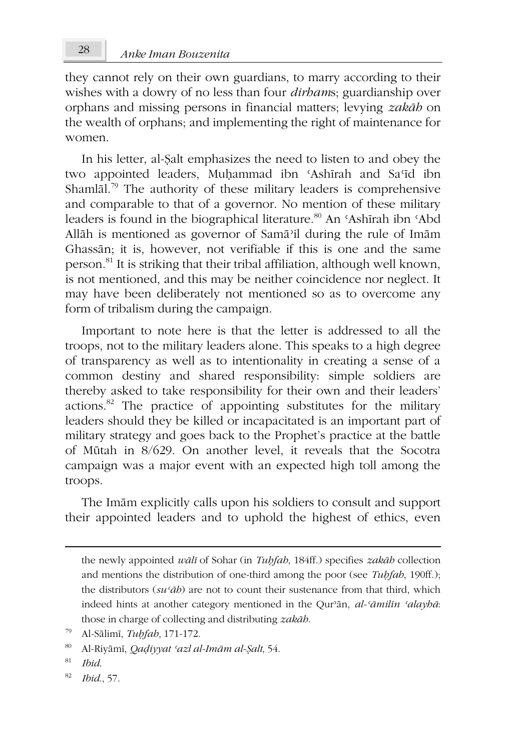they cannot rely on their own guardians, to marry according to their wishes with a dowry of no less than four *dirham*s; guardianship over orphans and missing persons in financial matters; levying *zakāh* on the wealth of orphans; and implementing the right of maintenance for women.

In his letter, al-Ṣalt emphasizes the need to listen to and obey the two appointed leaders, Muḥammad ibn ʿAshīrah and Saʿīd ibn Shaml $\bar{a}$ l.<sup>79</sup> The authority of these military leaders is comprehensive and comparable to that of a governor. No mention of these military leaders is found in the biographical literature.<sup>80</sup> An 'Ashīrah ibn 'Abd Allāh is mentioned as governor of Samāʾil during the rule of Imām Ghassān; it is, however, not verifiable if this is one and the same person.<sup>81</sup> It is striking that their tribal affiliation, although well known, is not mentioned, and this may be neither coincidence nor neglect. It may have been deliberately not mentioned so as to overcome any form of tribalism during the campaign.

Important to note here is that the letter is addressed to all the troops, not to the military leaders alone. This speaks to a high degree of transparency as well as to intentionality in creating a sense of a common destiny and shared responsibility: simple soldiers are thereby asked to take responsibility for their own and their leaders' actions.<sup>82</sup> The practice of appointing substitutes for the military leaders should they be killed or incapacitated is an important part of military strategy and goes back to the Prophet's practice at the battle of Mūtah in 8/629. On another level, it reveals that the Socotra campaign was a major event with an expected high toll among the troops.

The Imām explicitly calls upon his soldiers to consult and support their appointed leaders and to uphold the highest of ethics, even

<sup>82</sup> *Ibid*., 57.

the newly appointed *wālī* of Sohar (in *Tuḥfah*, 184ff.) specifies *zakāh* collection and mentions the distribution of one-third among the poor (see *Tuḥfah*, 190ff.); the distributors  $(su \, \tilde{a}b)$  are not to count their sustenance from that third, which indeed hints at another category mentioned in the Qurʾān, *al-ʿāmilīn ʿalayhā*: those in charge of collecting and distributing *zakāh*.

<sup>79</sup> Al-Sālimī, *Tuḥfah*, 171-172.

<sup>80</sup> Al-Riyāmī, *Qaḍiyyat ʿazl al-Imām al-Ṣalt*, 54.

<sup>81</sup> *Ibid*.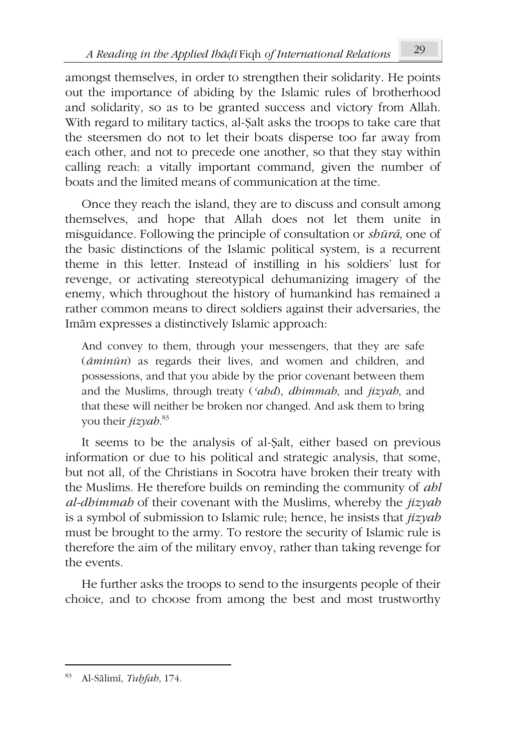amongst themselves, in order to strengthen their solidarity. He points out the importance of abiding by the Islamic rules of brotherhood and solidarity, so as to be granted success and victory from Allah. With regard to military tactics, al-Ṣalt asks the troops to take care that the steersmen do not to let their boats disperse too far away from each other, and not to precede one another, so that they stay within calling reach: a vitally important command, given the number of boats and the limited means of communication at the time.

Once they reach the island, they are to discuss and consult among themselves, and hope that Allah does not let them unite in misguidance. Following the principle of consultation or *shūrá*, one of the basic distinctions of the Islamic political system, is a recurrent theme in this letter. Instead of instilling in his soldiers' lust for revenge, or activating stereotypical dehumanizing imagery of the enemy, which throughout the history of humankind has remained a rather common means to direct soldiers against their adversaries, the Imām expresses a distinctively Islamic approach:

And convey to them, through your messengers, that they are safe (*āminūn*) as regards their lives, and women and children, and possessions, and that you abide by the prior covenant between them and the Muslims, through treaty (*ʿahd*), *dhimmah*, and *jizyah*, and that these will neither be broken nor changed. And ask them to bring you their *jizyah*. 83

It seems to be the analysis of al-Ṣalt, either based on previous information or due to his political and strategic analysis, that some, but not all, of the Christians in Socotra have broken their treaty with the Muslims. He therefore builds on reminding the community of *ahl al-dhimmah* of their covenant with the Muslims, whereby the *jizyah* is a symbol of submission to Islamic rule; hence, he insists that *jizyah* must be brought to the army. To restore the security of Islamic rule is therefore the aim of the military envoy, rather than taking revenge for the events.

He further asks the troops to send to the insurgents people of their choice, and to choose from among the best and most trustworthy

<sup>83</sup> Al-Sālimī, *Tuḥfah*, 174.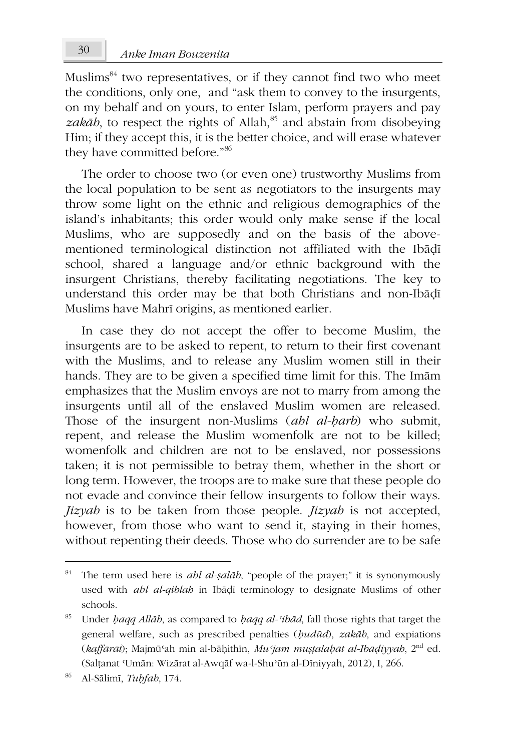Muslims<sup>84</sup> two representatives, or if they cannot find two who meet the conditions, only one, and "ask them to convey to the insurgents, on my behalf and on yours, to enter Islam, perform prayers and pay  $zak\bar{a}b$ , to respect the rights of Allah,<sup>85</sup> and abstain from disobeying Him; if they accept this, it is the better choice, and will erase whatever they have committed before."<sup>86</sup>

The order to choose two (or even one) trustworthy Muslims from the local population to be sent as negotiators to the insurgents may throw some light on the ethnic and religious demographics of the island's inhabitants; this order would only make sense if the local Muslims, who are supposedly and on the basis of the abovementioned terminological distinction not affiliated with the Ibāḍī school, shared a language and/or ethnic background with the insurgent Christians, thereby facilitating negotiations. The key to understand this order may be that both Christians and non-Ibāḍī Muslims have Mahrī origins, as mentioned earlier.

In case they do not accept the offer to become Muslim, the insurgents are to be asked to repent, to return to their first covenant with the Muslims, and to release any Muslim women still in their hands. They are to be given a specified time limit for this. The Imām emphasizes that the Muslim envoys are not to marry from among the insurgents until all of the enslaved Muslim women are released. Those of the insurgent non-Muslims (*ahl al-ḥarb*) who submit, repent, and release the Muslim womenfolk are not to be killed; womenfolk and children are not to be enslaved, nor possessions taken; it is not permissible to betray them, whether in the short or long term. However, the troops are to make sure that these people do not evade and convince their fellow insurgents to follow their ways. *Jizyah* is to be taken from those people. *Jizyah* is not accepted, however, from those who want to send it, staying in their homes, without repenting their deeds. Those who do surrender are to be safe

<sup>84</sup> The term used here is *ahl al-ṣalāh*, "people of the prayer;" it is synonymously used with *ahl al-qiblah* in Ibāḍī terminology to designate Muslims of other schools.

<sup>85</sup> Under *ḥaqq Allāh*, as compared to *ḥaqq al-ʿibād*, fall those rights that target the general welfare, such as prescribed penalties (*ḥudūd*), *zakāh*, and expiations (*kaffārāt*); Majmūʿah min al-bāḥithīn, *Muʿjam muṣṭalaḥāt al-Ibāḍiyyah*, 2nd ed. (Salṭanat ʿUmān: Wizārat al-Awqāf wa-l-Shuʾūn al-Dīniyyah, 2012), I, 266.

<sup>86</sup> Al-Sālimī, *Tuḥfah*, 174.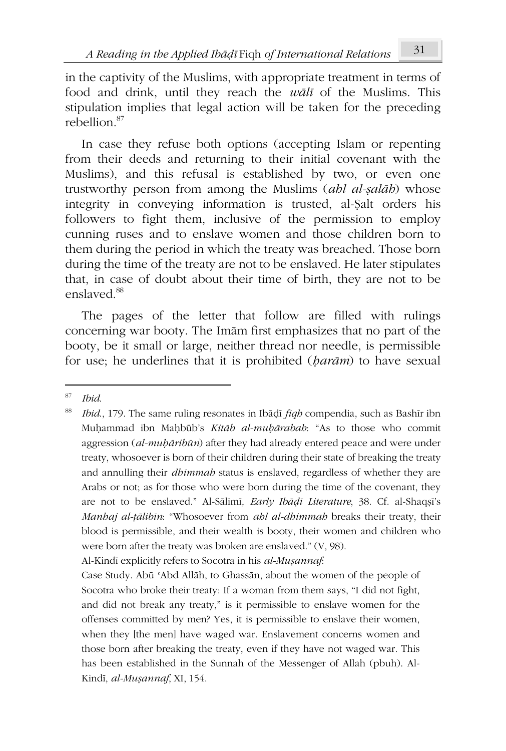in the captivity of the Muslims, with appropriate treatment in terms of food and drink, until they reach the *wālī* of the Muslims. This stipulation implies that legal action will be taken for the preceding rebellion<sup>87</sup>

In case they refuse both options (accepting Islam or repenting from their deeds and returning to their initial covenant with the Muslims), and this refusal is established by two, or even one trustworthy person from among the Muslims (*ahl al-ṣalāh*) whose integrity in conveying information is trusted, al-Ṣalt orders his followers to fight them, inclusive of the permission to employ cunning ruses and to enslave women and those children born to them during the period in which the treaty was breached. Those born during the time of the treaty are not to be enslaved. He later stipulates that, in case of doubt about their time of birth, they are not to be enslaved.<sup>88</sup>

The pages of the letter that follow are filled with rulings concerning war booty. The Imām first emphasizes that no part of the booty, be it small or large, neither thread nor needle, is permissible for use; he underlines that it is prohibited (*ḥarām*) to have sexual

Al-Kindī explicitly refers to Socotra in his *al-Muṣannaf*:

Case Study. Abū ʿAbd Allāh, to Ghassān, about the women of the people of Socotra who broke their treaty: If a woman from them says, "I did not fight, and did not break any treaty," is it permissible to enslave women for the offenses committed by men? Yes, it is permissible to enslave their women, when they [the men] have waged war. Enslavement concerns women and those born after breaking the treaty, even if they have not waged war. This has been established in the Sunnah of the Messenger of Allah (pbuh). Al-Kindī, *al-Muṣannaf*, XI, 154.

<sup>87</sup> *Ibid*.

<sup>88</sup> *Ibid*., 179. The same ruling resonates in Ibāḍī *fiqh* compendia, such as Bashīr ibn Muḥammad ibn Maḥbūb's *Kitāb al-muḥārabah*: "As to those who commit aggression (*al-muḥāribūn*) after they had already entered peace and were under treaty, whosoever is born of their children during their state of breaking the treaty and annulling their *dhimmah* status is enslaved, regardless of whether they are Arabs or not; as for those who were born during the time of the covenant, they are not to be enslaved." Al-Sālimī*, Early Ibāḍī Literature*, 38. Cf. al-Shaqṣī's *Manhaj al-ṭālibīn*: "Whosoever from *ahl al-dhimmah* breaks their treaty, their blood is permissible, and their wealth is booty, their women and children who were born after the treaty was broken are enslaved." (V, 98).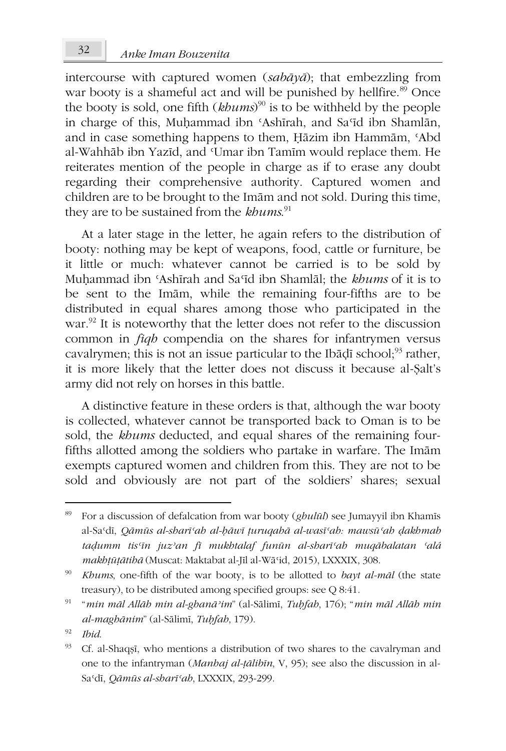intercourse with captured women (*sabāyā*); that embezzling from war booty is a shameful act and will be punished by hellfire.<sup>89</sup> Once the booty is sold, one fifth (*khums*) <sup>90</sup> is to be withheld by the people in charge of this, Muhammad ibn 'Ashīrah, and Sa'īd ibn Shamlān, and in case something happens to them, Ḥāzim ibn Hammām, ʿAbd al-Wahhāb ibn Yazīd, and ʿUmar ibn Tamīm would replace them. He reiterates mention of the people in charge as if to erase any doubt regarding their comprehensive authority. Captured women and children are to be brought to the Imām and not sold. During this time, they are to be sustained from the *khums*. 91

At a later stage in the letter, he again refers to the distribution of booty: nothing may be kept of weapons, food, cattle or furniture, be it little or much: whatever cannot be carried is to be sold by Muḥammad ibn ʿAshīrah and Saʿīd ibn Shamlāl; the *khums* of it is to be sent to the Imām, while the remaining four-fifths are to be distributed in equal shares among those who participated in the war.<sup>92</sup> It is noteworthy that the letter does not refer to the discussion common in *fiqh* compendia on the shares for infantrymen versus cavalrymen; this is not an issue particular to the Ibāḍī school; $^{93}$  rather, it is more likely that the letter does not discuss it because al-Ṣalt's army did not rely on horses in this battle.

A distinctive feature in these orders is that, although the war booty is collected, whatever cannot be transported back to Oman is to be sold, the *khums* deducted, and equal shares of the remaining fourfifths allotted among the soldiers who partake in warfare. The Imām exempts captured women and children from this. They are not to be sold and obviously are not part of the soldiers' shares; sexual

<sup>89</sup> For a discussion of defalcation from war booty (*ghulūl*) see Jumayyil ibn Khamīs al-Saʿdī, *Qāmūs al-sharīʿah al-ḥāwī ṭuruqahā al-wasīʿah: mawsūʿah ḍakhmah taḍumm tisʿīn juzʾan fī mukhtalaf funūn al-sharīʿah muqābalatan ʿalá makhṭūṭātihā* (Muscat: Maktabat al-Jīl al-Wāʿid, 2015), LXXXIX, 308.

<sup>90</sup> *Khums*, one-fifth of the war booty, is to be allotted to *bayt al-māl* (the state treasury), to be distributed among specified groups: see Q 8:41.

<sup>91</sup> "*min māl Allāh min al-ghanāʾim*" (al-Sālimī, *Tuḥfah*, 176); "*min māl Allāh min al-maghānim*" (al-Sālimī, *Tuḥfah*, 179).

<sup>92</sup> *Ibid*.

<sup>93</sup> Cf. al-Shaqṣī, who mentions a distribution of two shares to the cavalryman and one to the infantryman (*Manhaj al-ṭālibīn*, V, 95); see also the discussion in al-Saʿdī, *Qāmūs al-sharīʿah*, LXXXIX, 293-299.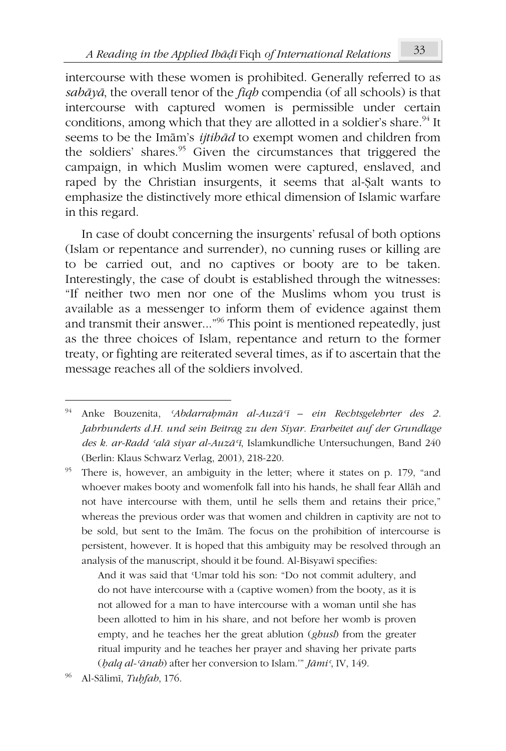intercourse with these women is prohibited. Generally referred to as *sabāyā*, the overall tenor of the *fiqh* compendia (of all schools) is that intercourse with captured women is permissible under certain conditions, among which that they are allotted in a soldier's share.<sup>94</sup> It seems to be the Imām's *ijtihād* to exempt women and children from the soldiers' shares.<sup>95</sup> Given the circumstances that triggered the campaign, in which Muslim women were captured, enslaved, and raped by the Christian insurgents, it seems that al-Ṣalt wants to emphasize the distinctively more ethical dimension of Islamic warfare in this regard.

In case of doubt concerning the insurgents' refusal of both options (Islam or repentance and surrender), no cunning ruses or killing are to be carried out, and no captives or booty are to be taken. Interestingly, the case of doubt is established through the witnesses: "If neither two men nor one of the Muslims whom you trust is available as a messenger to inform them of evidence against them and transmit their answer..."<sup>96</sup> This point is mentioned repeatedly, just as the three choices of Islam, repentance and return to the former treaty, or fighting are reiterated several times, as if to ascertain that the message reaches all of the soldiers involved.

And it was said that ʿUmar told his son: "Do not commit adultery, and do not have intercourse with a (captive women) from the booty, as it is not allowed for a man to have intercourse with a woman until she has been allotted to him in his share, and not before her womb is proven empty, and he teaches her the great ablution (*ghusl*) from the greater ritual impurity and he teaches her prayer and shaving her private parts (*ḥalq al-ʿānah*) after her conversion to Islam.'" *Jāmiʿ*, IV, 149.

<sup>94</sup> Anke Bouzenita, *ʿAbdarraḥmān al-Auzāʿī – ein Rechtsgelehrter des 2. Jahrhunderts d.H. und sein Beitrag zu den Siyar. Erarbeitet auf der Grundlage des k. ar-Radd ʿalā siyar al-Auzāʿī*, Islamkundliche Untersuchungen, Band 240 (Berlin: Klaus Schwarz Verlag, 2001), 218-220.

<sup>&</sup>lt;sup>95</sup> There is, however, an ambiguity in the letter; where it states on p. 179, "and whoever makes booty and womenfolk fall into his hands, he shall fear Allāh and not have intercourse with them, until he sells them and retains their price," whereas the previous order was that women and children in captivity are not to be sold, but sent to the Imām. The focus on the prohibition of intercourse is persistent, however. It is hoped that this ambiguity may be resolved through an analysis of the manuscript, should it be found. Al-Bisyawī specifies:

<sup>96</sup> Al-Sālimī, *Tuḥfah*, 176.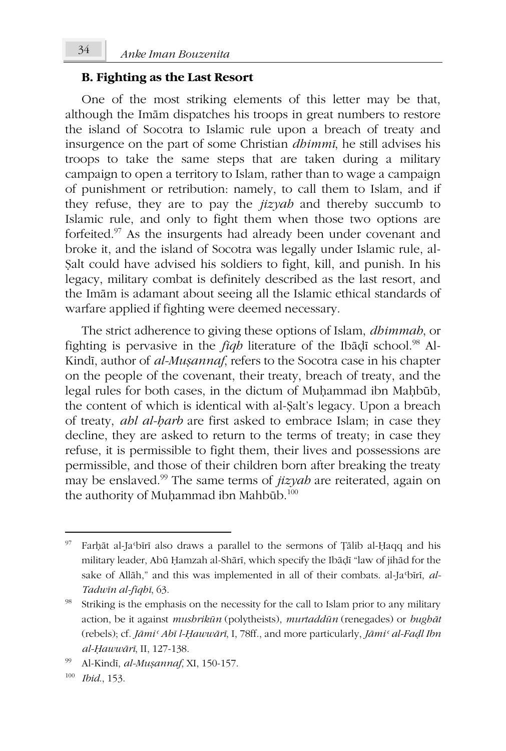### **B. Fighting as the Last Resort**

One of the most striking elements of this letter may be that, although the Imām dispatches his troops in great numbers to restore the island of Socotra to Islamic rule upon a breach of treaty and insurgence on the part of some Christian *dhimmī*, he still advises his troops to take the same steps that are taken during a military campaign to open a territory to Islam, rather than to wage a campaign of punishment or retribution: namely, to call them to Islam, and if they refuse, they are to pay the *jizyah* and thereby succumb to Islamic rule, and only to fight them when those two options are forfeited.<sup>97</sup> As the insurgents had already been under covenant and broke it, and the island of Socotra was legally under Islamic rule, al-Ṣalt could have advised his soldiers to fight, kill, and punish. In his legacy, military combat is definitely described as the last resort, and the Imām is adamant about seeing all the Islamic ethical standards of warfare applied if fighting were deemed necessary.

The strict adherence to giving these options of Islam, *dhimmah*, or fighting is pervasive in the *fiqh* literature of the Ibadi school.<sup>98</sup> Al-Kindī, author of *al-Muṣannaf*, refers to the Socotra case in his chapter on the people of the covenant, their treaty, breach of treaty, and the legal rules for both cases, in the dictum of Muḥammad ibn Maḥbūb, the content of which is identical with al-Ṣalt's legacy. Upon a breach of treaty, *ahl al-ḥarb* are first asked to embrace Islam; in case they decline, they are asked to return to the terms of treaty; in case they refuse, it is permissible to fight them, their lives and possessions are permissible, and those of their children born after breaking the treaty may be enslaved.<sup>99</sup> The same terms of *jizyah* are reiterated, again on the authority of Muḥammad ibn Mahbūb.<sup>100</sup>

<sup>97</sup> Farḥāt al-Jaʿbīrī also draws a parallel to the sermons of Ṭālib al-Ḥaqq and his military leader, Abū Ḥamzah al-Shārī, which specify the Ibāḍī "law of jihād for the sake of Allāh," and this was implemented in all of their combats. al-Ja<sup>c</sup>bīrī, al-*Tadwīn al-fiqhī*, 63.

<sup>&</sup>lt;sup>98</sup> Striking is the emphasis on the necessity for the call to Islam prior to any military action, be it against *mushrikūn* (polytheists), *murtaddūn* (renegades) or *bughāt* (rebels); cf. *Jāmiʿ Abī l-Ḥawwārī*, I, 78ff., and more particularly, *Jāmiʿ al-Faḍl Ibn al-Ḥawwārī*, II, 127-138.

<sup>99</sup> Al-Kindī, *al-Muṣannaf*, XI, 150-157.

<sup>100</sup> *Ibid*., 153.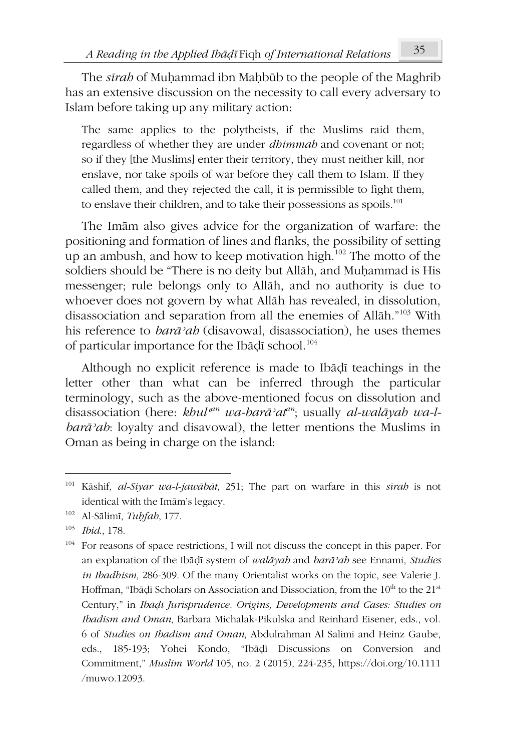The *sīrah* of Muḥammad ibn Maḥbūb to the people of the Maghrib has an extensive discussion on the necessity to call every adversary to Islam before taking up any military action:

The same applies to the polytheists, if the Muslims raid them, regardless of whether they are under *dhimmah* and covenant or not; so if they [the Muslims] enter their territory, they must neither kill, nor enslave, nor take spoils of war before they call them to Islam. If they called them, and they rejected the call, it is permissible to fight them, to enslave their children, and to take their possessions as spoils.<sup>101</sup>

The Imām also gives advice for the organization of warfare: the positioning and formation of lines and flanks, the possibility of setting up an ambush, and how to keep motivation high.<sup>102</sup> The motto of the soldiers should be "There is no deity but Allāh, and Muḥammad is His messenger; rule belongs only to Allāh, and no authority is due to whoever does not govern by what Allāh has revealed, in dissolution, disassociation and separation from all the enemies of Allāh."<sup>103</sup> With his reference to *barāʾah* (disavowal, disassociation), he uses themes of particular importance for the Ibāḍī school.<sup>104</sup>

Although no explicit reference is made to Ibāḍī teachings in the letter other than what can be inferred through the particular terminology, such as the above-mentioned focus on dissolution and disassociation (here: khul<sup>an</sup> wa-barā<sup>,</sup>at<sup>an</sup>; usually *al-walāyah wa-lbarāʾah*: loyalty and disavowal), the letter mentions the Muslims in Oman as being in charge on the island:

<sup>101</sup> Kāshif, *al-Siyar wa-l-jawābāt*, 251; The part on warfare in this *sīrah* is not identical with the Imām's legacy.

<sup>102</sup> Al-Sālimī, *Tuḥfah*, 177.

<sup>103</sup> *Ibid*., 178.

<sup>&</sup>lt;sup>104</sup> For reasons of space restrictions, I will not discuss the concept in this paper. For an explanation of the Ibāḍī system of *walāyah* and *barāʾah* see Ennami, *Studies in Ibadhism,* 286-309. Of the many Orientalist works on the topic, see Valerie J. Hoffman, "Ibāḍī Scholars on Association and Dissociation, from the 10<sup>th</sup> to the 21<sup>st</sup> Century," in *Ibāḍī Jurisprudence. Origins, Developments and Cases: Studies on Ibadism and Oman*, Barbara Michalak-Pikulska and Reinhard Eisener, eds., vol. 6 of *Studies on Ibadism and Oman*, Abdulrahman Al Salimi and Heinz Gaube, eds., 185-193; Yohei Kondo, "Ibāḍī Discussions on Conversion and Commitment," *Muslim World* 105, no. 2 (2015), 224-235, https://doi.org/10.1111 /muwo.12093.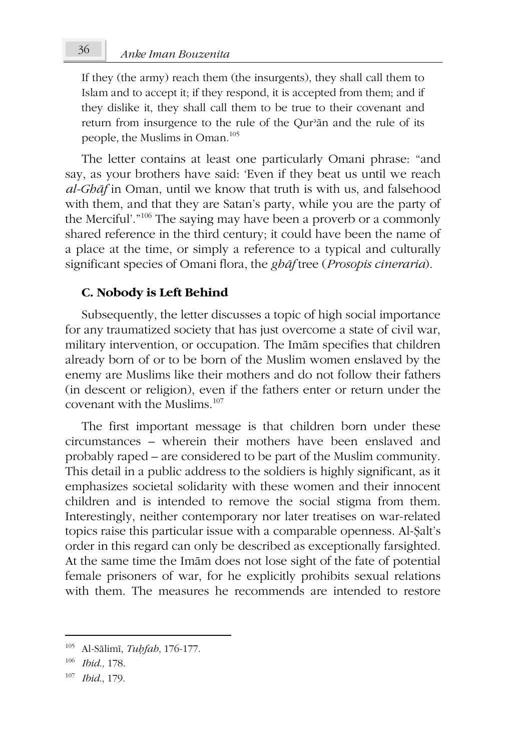If they (the army) reach them (the insurgents), they shall call them to Islam and to accept it; if they respond, it is accepted from them; and if they dislike it, they shall call them to be true to their covenant and return from insurgence to the rule of the Our'an and the rule of its people, the Muslims in Oman.<sup>105</sup>

The letter contains at least one particularly Omani phrase: "and say, as your brothers have said: 'Even if they beat us until we reach *al-Ghāf* in Oman, until we know that truth is with us, and falsehood with them, and that they are Satan's party, while you are the party of the Merciful'.<sup>"106</sup> The saying may have been a proverb or a commonly shared reference in the third century; it could have been the name of a place at the time, or simply a reference to a typical and culturally significant species of Omani flora, the *ghāf* tree (*Prosopis cineraria*).

### **C. Nobody is Left Behind**

Subsequently, the letter discusses a topic of high social importance for any traumatized society that has just overcome a state of civil war, military intervention, or occupation. The Imām specifies that children already born of or to be born of the Muslim women enslaved by the enemy are Muslims like their mothers and do not follow their fathers (in descent or religion), even if the fathers enter or return under the covenant with the Muslims.<sup>107</sup>

The first important message is that children born under these circumstances – wherein their mothers have been enslaved and probably raped – are considered to be part of the Muslim community. This detail in a public address to the soldiers is highly significant, as it emphasizes societal solidarity with these women and their innocent children and is intended to remove the social stigma from them. Interestingly, neither contemporary nor later treatises on war-related topics raise this particular issue with a comparable openness. Al-Ṣalt's order in this regard can only be described as exceptionally farsighted. At the same time the Imām does not lose sight of the fate of potential female prisoners of war, for he explicitly prohibits sexual relations with them. The measures he recommends are intended to restore

<sup>105</sup> Al-Sālimī, *Tuḥfah*, 176-177.

<sup>106</sup> *Ibid*.*,* 178.

<sup>107</sup> *Ibid*., 179.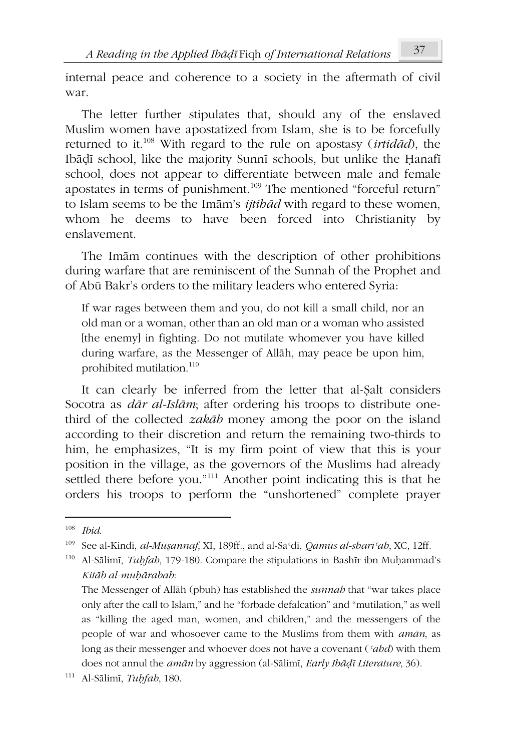internal peace and coherence to a society in the aftermath of civil war.

The letter further stipulates that, should any of the enslaved Muslim women have apostatized from Islam, she is to be forcefully returned to it.<sup>108</sup> With regard to the rule on apostasy (*irtidād*), the Ibāḍī school, like the majority Sunnī schools, but unlike the Ḥanafī school, does not appear to differentiate between male and female apostates in terms of punishment.<sup>109</sup> The mentioned "forceful return" to Islam seems to be the Imām's *ijtihād* with regard to these women, whom he deems to have been forced into Christianity by enslavement.

The Imām continues with the description of other prohibitions during warfare that are reminiscent of the Sunnah of the Prophet and of Abū Bakr's orders to the military leaders who entered Syria:

If war rages between them and you, do not kill a small child, nor an old man or a woman, other than an old man or a woman who assisted [the enemy] in fighting. Do not mutilate whomever you have killed during warfare, as the Messenger of Allāh, may peace be upon him, prohibited mutilation.<sup>110</sup>

It can clearly be inferred from the letter that al-Ṣalt considers Socotra as *dār al-Islām*; after ordering his troops to distribute onethird of the collected *zakāh* money among the poor on the island according to their discretion and return the remaining two-thirds to him, he emphasizes, "It is my firm point of view that this is your position in the village, as the governors of the Muslims had already settled there before you."<sup>111</sup> Another point indicating this is that he orders his troops to perform the "unshortened" complete prayer

<sup>108</sup> *Ibid*.

<sup>109</sup> See al-Kindī, *al-Muṣannaf*, XI, 189ff., and al-Saʿdī, *Qāmūs al-sharīʿah*, XC, 12ff.

<sup>110</sup> Al-Sālimī, *Tuḥfah*, 179-180. Compare the stipulations in Bashīr ibn Muḥammad's *Kitāb al-muḥārabah*:

The Messenger of Allāh (pbuh) has established the *sunnah* that "war takes place only after the call to Islam," and he "forbade defalcation" and "mutilation," as well as "killing the aged man, women, and children," and the messengers of the people of war and whosoever came to the Muslims from them with *amān*, as long as their messenger and whoever does not have a covenant (*ʿahd*) with them does not annul the *amān* by aggression (al-Sālimī, *Early Ibāḍī Literature*, 36).

<sup>111</sup> Al-Sālimī, *Tuḥfah*, 180.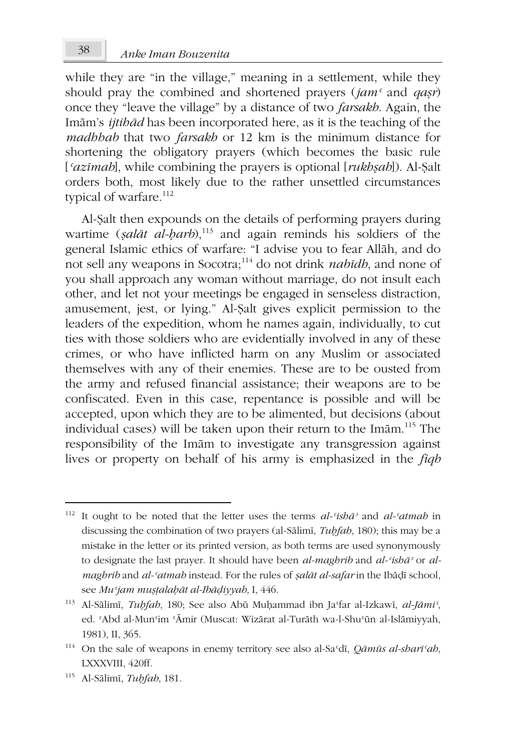while they are "in the village," meaning in a settlement, while they should pray the combined and shortened prayers (*jamʿ* and *qaṣr*) once they "leave the village" by a distance of two *farsakh*. Again, the Imām's *ijtihād* has been incorporated here, as it is the teaching of the *madhhab* that two *farsakh* or 12 km is the minimum distance for shortening the obligatory prayers (which becomes the basic rule [*ʿazīmah*], while combining the prayers is optional [*rukhṣah*]). Al-Ṣalt orders both, most likely due to the rather unsettled circumstances typical of warfare.<sup>112</sup>

Al-Ṣalt then expounds on the details of performing prayers during wartime (*ṣalāt al-ḥarb*),<sup>113</sup> and again reminds his soldiers of the general Islamic ethics of warfare: "I advise you to fear Allāh, and do not sell any weapons in Socotra;<sup>114</sup> do not drink *nabīdh*, and none of you shall approach any woman without marriage, do not insult each other, and let not your meetings be engaged in senseless distraction, amusement, jest, or lying." Al-Ṣalt gives explicit permission to the leaders of the expedition, whom he names again, individually, to cut ties with those soldiers who are evidentially involved in any of these crimes, or who have inflicted harm on any Muslim or associated themselves with any of their enemies. These are to be ousted from the army and refused financial assistance; their weapons are to be confiscated. Even in this case, repentance is possible and will be accepted, upon which they are to be alimented, but decisions (about individual cases) will be taken upon their return to the Imām.<sup>115</sup> The responsibility of the Imām to investigate any transgression against lives or property on behalf of his army is emphasized in the *fiqh*

<sup>112</sup> It ought to be noted that the letter uses the terms *al-ʿishāʾ* and *al-ʿatmah* in discussing the combination of two prayers (al-Sālimī, *Tuḥfah*, 180); this may be a mistake in the letter or its printed version, as both terms are used synonymously to designate the last prayer. It should have been *al-maghrib* and *al-ʿishāʾ* or *almaghrib* and *al-ʿatmah* instead. For the rules of *ṣalāt al-safar* in the Ibāḍī school, see *Muʿjam muṣṭalaḥāt al-Ibāḍiyyah*, I, 446.

<sup>113</sup> Al-Sālimī, *Tuḥfah*, 180; See also Abū Muḥammad ibn Jaʿfar al-Izkawī, *al-Jāmiʿ*, ed. 'Abd al-Mun'im 'Āmir (Muscat: Wizārat al-Turāth wa-l-Shu'ūn al-Islāmiyyah, 1981), II, 365.

<sup>114</sup> On the sale of weapons in enemy territory see also al-Saʿdī, *Qāmūs al-sharīʿah*, LXXXVIII, 420ff.

<sup>115</sup> Al-Sālimī, *Tuḥfah*, 181.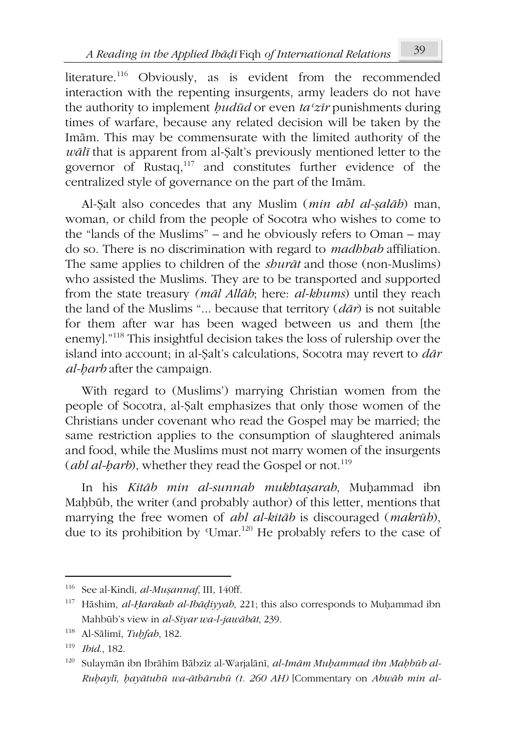literature.<sup>116</sup> Obviously, as is evident from the recommended interaction with the repenting insurgents, army leaders do not have the authority to implement *ḥudūd* or even *taʿzīr* punishments during times of warfare, because any related decision will be taken by the Imām. This may be commensurate with the limited authority of the *wālī* that is apparent from al-Ṣalt's previously mentioned letter to the governor of Rustaq,<sup>117</sup> and constitutes further evidence of the centralized style of governance on the part of the Imām.

Al-Ṣalt also concedes that any Muslim (*min ahl al-ṣalāh*) man, woman, or child from the people of Socotra who wishes to come to the "lands of the Muslims" – and he obviously refers to Oman – may do so. There is no discrimination with regard to *madhhab* affiliation. The same applies to children of the *shurāt* and those (non-Muslims) who assisted the Muslims. They are to be transported and supported from the state treasury *(māl Allāh*; here: *al-khums*) until they reach the land of the Muslims "... because that territory (*dār*) is not suitable for them after war has been waged between us and them [the enemy]."<sup>118</sup> This insightful decision takes the loss of rulership over the island into account; in al-Ṣalt's calculations, Socotra may revert to *dār al-ḥarb* after the campaign.

With regard to (Muslims') marrying Christian women from the people of Socotra, al-Ṣalt emphasizes that only those women of the Christians under covenant who read the Gospel may be married; the same restriction applies to the consumption of slaughtered animals and food, while the Muslims must not marry women of the insurgents (*ahl al-harb*), whether they read the Gospel or not.<sup>119</sup>

In his *Kitāb min al-sunnah mukhtaṣarah*, Muḥammad ibn Maḥbūb, the writer (and probably author) of this letter, mentions that marrying the free women of *ahl al-kitāb* is discouraged (*makrūh*), due to its prohibition by 'Umar.<sup>120</sup> He probably refers to the case of

<sup>116</sup> See al-Kindī, *al-Muṣannaf*, III, 140ff.

<sup>117</sup> Hāshim, *al-Ḥarakah al-Ibāḍiyyah*, 221; this also corresponds to Muḥammad ibn Mahbūb's view in *al-Siyar wa-l-jawābāt*, 239.

<sup>118</sup> Al-Sālimī, *Tuḥfah*, 182.

<sup>119</sup> *Ibid*., 182.

<sup>120</sup> Sulaymān ibn Ibrāhīm Bābzīz al-Warjalānī, *al-Imām Muḥammad ibn Maḥbūb al-Ruḥaylī, ḥayātuhū wa-āthāruhū (t. 260 AH)* [Commentary on *Abwāb min al-*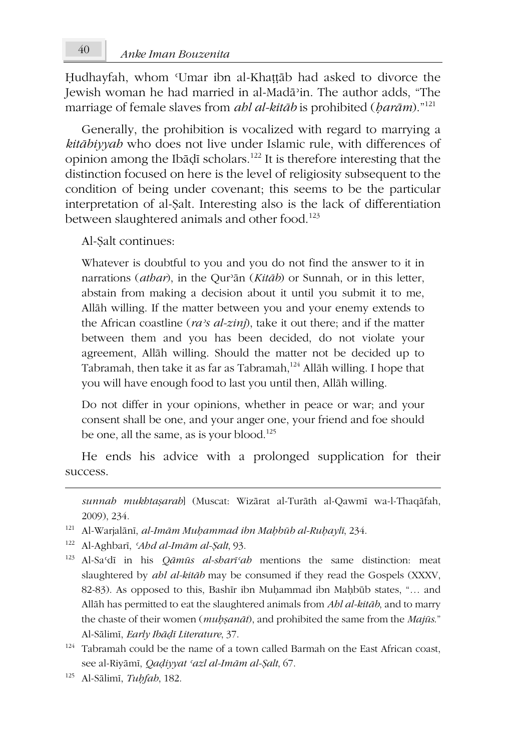Hudhayfah, whom 'Umar ibn al-Khattāb had asked to divorce the Jewish woman he had married in al-Madāʾin. The author adds, "The marriage of female slaves from *ahl al-kitāb* is prohibited (*ḥarām*)."<sup>121</sup>

Generally, the prohibition is vocalized with regard to marrying a *kitābiyyah* who does not live under Islamic rule, with differences of opinion among the Ibāḍī scholars.<sup>122</sup> It is therefore interesting that the distinction focused on here is the level of religiosity subsequent to the condition of being under covenant; this seems to be the particular interpretation of al-Ṣalt. Interesting also is the lack of differentiation between slaughtered animals and other food.<sup>123</sup>

Al-Ṣalt continues:

Whatever is doubtful to you and you do not find the answer to it in narrations (*athar*), in the Qurʾān (*Kitāb*) or Sunnah, or in this letter, abstain from making a decision about it until you submit it to me, Allāh willing. If the matter between you and your enemy extends to the African coastline (*raʾs al-zinj*), take it out there; and if the matter between them and you has been decided, do not violate your agreement, Allāh willing. Should the matter not be decided up to Tabramah, then take it as far as Tabramah,<sup>124</sup> Allāh willing. I hope that you will have enough food to last you until then, Allāh willing.

Do not differ in your opinions, whether in peace or war; and your consent shall be one, and your anger one, your friend and foe should be one, all the same, as is your blood.<sup>125</sup>

He ends his advice with a prolonged supplication for their success.

*sunnah mukhtaṣarah*] (Muscat: Wizārat al-Turāth al-Qawmī wa-l-Thaqāfah, 2009), 234.

- <sup>121</sup> Al-Warjalānī, *al-Imām Muḥammad ibn Maḥbūb al-Ruḥaylī*, 234.
- <sup>122</sup> Al-Aghbarī, *ʿAhd al-Imām al-Ṣalt*, 93.
- <sup>123</sup> Al-Saʿdī in his *Qāmūs al-sharīʿah* mentions the same distinction: meat slaughtered by *ahl al-kitāb* may be consumed if they read the Gospels (XXXV, 82-83). As opposed to this, Bashīr ibn Muḥammad ibn Maḥbūb states, "… and Allāh has permitted to eat the slaughtered animals from *Ahl al-kitāb*, and to marry the chaste of their women (*muḥṣanāt*), and prohibited the same from the *Majūs*." Al-Sālimī, *Early Ibāḍī Literature*, 37.
- $124$  Tabramah could be the name of a town called Barmah on the East African coast, see al-Riyāmī, *Qaḍiyyat ʿazl al-Imām al-Ṣalt*, 67.
- <sup>125</sup> Al-Sālimī, *Tuḥfah*, 182.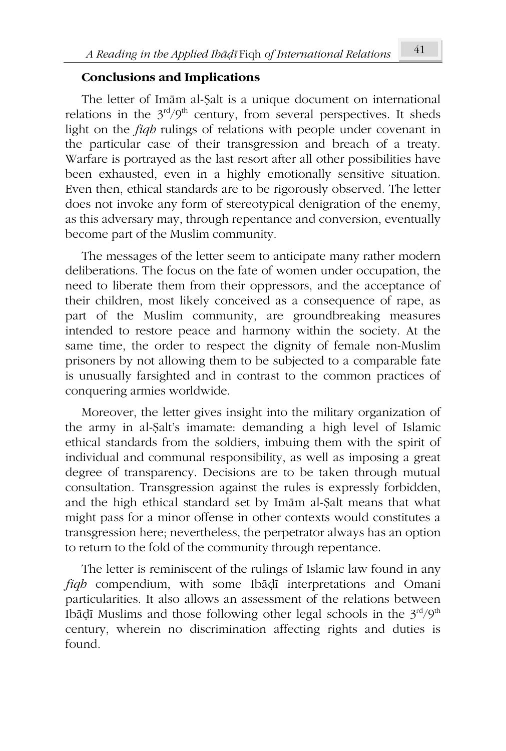### **Conclusions and Implications**

The letter of Imām al-Ṣalt is a unique document on international relations in the  $3<sup>rd</sup>/9<sup>th</sup>$  century, from several perspectives. It sheds light on the *fiqh* rulings of relations with people under covenant in the particular case of their transgression and breach of a treaty. Warfare is portrayed as the last resort after all other possibilities have been exhausted, even in a highly emotionally sensitive situation. Even then, ethical standards are to be rigorously observed. The letter does not invoke any form of stereotypical denigration of the enemy, as this adversary may, through repentance and conversion, eventually become part of the Muslim community.

The messages of the letter seem to anticipate many rather modern deliberations. The focus on the fate of women under occupation, the need to liberate them from their oppressors, and the acceptance of their children, most likely conceived as a consequence of rape, as part of the Muslim community, are groundbreaking measures intended to restore peace and harmony within the society. At the same time, the order to respect the dignity of female non-Muslim prisoners by not allowing them to be subjected to a comparable fate is unusually farsighted and in contrast to the common practices of conquering armies worldwide.

Moreover, the letter gives insight into the military organization of the army in al-Ṣalt's imamate: demanding a high level of Islamic ethical standards from the soldiers, imbuing them with the spirit of individual and communal responsibility, as well as imposing a great degree of transparency. Decisions are to be taken through mutual consultation. Transgression against the rules is expressly forbidden, and the high ethical standard set by Imām al-Ṣalt means that what might pass for a minor offense in other contexts would constitutes a transgression here; nevertheless, the perpetrator always has an option to return to the fold of the community through repentance.

The letter is reminiscent of the rulings of Islamic law found in any *fiqh* compendium, with some Ibāḍī interpretations and Omani particularities. It also allows an assessment of the relations between Ibāḍī Muslims and those following other legal schools in the  $3<sup>rd</sup>/9<sup>th</sup>$ century, wherein no discrimination affecting rights and duties is found.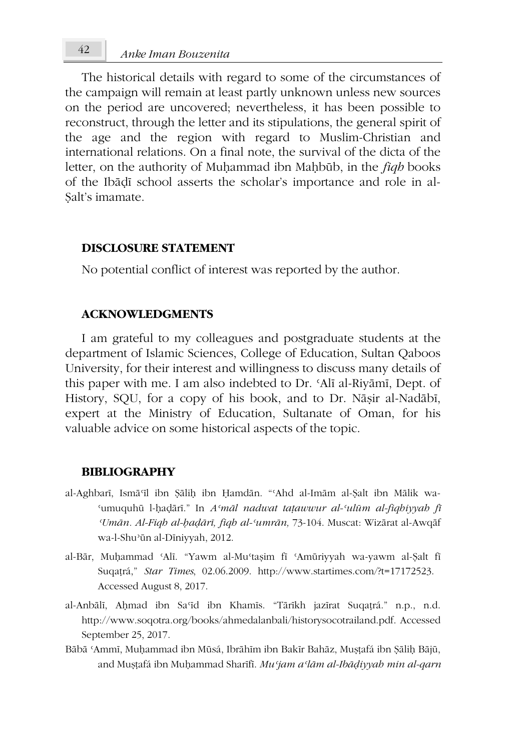The historical details with regard to some of the circumstances of the campaign will remain at least partly unknown unless new sources on the period are uncovered; nevertheless, it has been possible to reconstruct, through the letter and its stipulations, the general spirit of the age and the region with regard to Muslim-Christian and international relations. On a final note, the survival of the dicta of the letter, on the authority of Muḥammad ibn Maḥbūb, in the *fiqh* books of the Ibāḍī school asserts the scholar's importance and role in al-Salt's imamate.

### **DISCLOSURE STATEMENT**

No potential conflict of interest was reported by the author.

## **ACKNOWLEDGMENTS**

I am grateful to my colleagues and postgraduate students at the department of Islamic Sciences, College of Education, Sultan Qaboos University, for their interest and willingness to discuss many details of this paper with me. I am also indebted to Dr. ʿAlī al-Riyāmī, Dept. of History, SQU, for a copy of his book, and to Dr. Nāṣir al-Nadābī, expert at the Ministry of Education, Sultanate of Oman, for his valuable advice on some historical aspects of the topic.

#### **BIBLIOGRAPHY**

- al-Aghbarī, Ismāʿīl ibn Ṣāliḥ ibn Ḥamdān. "ʿAhd al-Imām al-Ṣalt ibn Mālik wa-ʿumuquhū l-ḥaḍārī." In *Aʿmāl nadwat taṭawwur al-ʿulūm al-fiqhiyyah fī ʿUmān. Al-Fiqh al-ḥaḍārī, fiqh al-ʿumrān,* 73-104. Muscat: Wizārat al-Awqāf wa-l-Shuʾūn al-Dīniyyah, 2012.
- al-Bār, Muḥammad ʿAlī. "Yawm al-Muʿtaṣim fī ʿAmūriyyah wa-yawm al-Ṣalt fī Suqaṭrá," *Star Times*, 02.06.2009. http://www.startimes.com/?t=17172523. Accessed August 8, 2017.
- al-Anbālī, Aḥmad ibn Saʿīd ibn Khamīs. "Tārīkh jazīrat Suqaṭrá." n.p., n.d. http://www.soqotra.org/books/ahmedalanbali/historysocotrailand.pdf. Accessed September 25, 2017.
- Bābā ʿAmmī, Muḥammad ibn Mūsá, Ibrāhīm ibn Bakīr Bahāz, Muṣṭafá ibn Ṣāliḥ Bājū, and Muṣṭafá ibn Muḥammad Sharīfī. *Muʿjam aʿlām al-Ibāḍiyyah min al-qarn*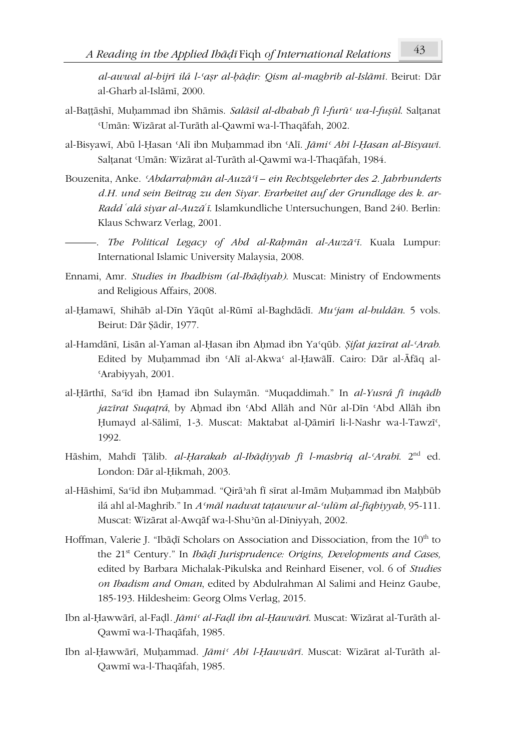*al-awwal al-hijrī ilá l-ʿaṣr al-ḥāḍir: Qism al-maghrib al-Islāmī.* Beirut: Dār al-Gharb al-Islāmī, 2000.

- al-Baṭṭāshī, Muḥammad ibn Shāmis. *Salāsil al-dhahab fī l-furūʿ wa-l-fuṣūl*. Salṭanat ʿUmān: Wizārat al-Turāth al-Qawmī wa-l-Thaqāfah, 2002.
- al-Bisyawī, Abū l-Ḥasan ʿAlī ibn Muḥammad ibn ʿAlī. *Jāmiʿ Abī l-Ḥasan al-Bisyawī.* Salṭanat ʿUmān: Wizārat al-Turāth al-Qawmī wa-l-Thaqāfah, 1984.
- Bouzenita, Anke. *ʿAbdarraḥmān al-Auzāʿī ein Rechtsgelehrter des 2. Jahrhunderts d.H. und sein Beitrag zu den Siyar. Erarbeitet auf der Grundlage des k. ar-Radd <sup>ʿ</sup>alá siyar al-Auzā ʿ ī*. Islamkundliche Untersuchungen, Band 240. Berlin: Klaus Schwarz Verlag, 2001.
	- ———. *The Political Legacy of Abd al-Raḥmān al-Awzāʿī.* Kuala Lumpur: International Islamic University Malaysia, 2008.
- Ennami, Amr. *Studies in Ibadhism (al-Ibāḍiyah)*. Muscat: Ministry of Endowments and Religious Affairs, 2008.
- al-Ḥamawī, Shihāb al-Dīn Yāqūt al-Rūmī al-Baghdādī. *Muʿjam al-buldān*. 5 vols. Beirut: Dār Ṣādir, 1977.
- al-Hamdānī, Lisān al-Yaman al-Ḥasan ibn Aḥmad ibn Yaʿqūb. *Ṣifat jazīrat al-ʿArab*. Edited by Muḥammad ibn ʿAlī al-Akwaʿ al-Ḥawālī. Cairo: Dār al-Āfāq al-ʿArabiyyah, 2001.
- al-Ḥārthī, Saʿīd ibn Ḥamad ibn Sulaymān. "Muqaddimah." In *al-Yusrá fī inqādh jazīrat Suqaṭrá*, by Aḥmad ibn ʿAbd Allāh and Nūr al-Dīn ʿAbd Allāh ibn Ḥumayd al-Sālimī, 1-3. Muscat: Maktabat al-Ḍāmirī li-l-Nashr wa-l-Tawzīʿ, 1992.
- Hāshim, Mahdī Ṭālib. *al-Ḥarakah al-Ibāḍiyyah fī l-mashriq al-ʿArabī*. 2nd ed. London: Dār al-Ḥikmah, 2003.
- al-Hāshimī, Saʿīd ibn Muḥammad. "Qirāʾah fī sīrat al-Imām Muḥammad ibn Maḥbūb ilá ahl al-Maghrib." In *Aʿmāl nadwat taṭawwur al-ʿulūm al-fiqhiyyah*, 95-111. Muscat: Wizārat al-Awqāf wa-l-Shuʾūn al-Dīniyyah, 2002.
- Hoffman, Valerie J. "Ibāḍī Scholars on Association and Dissociation, from the 10<sup>th</sup> to the 21st Century." In *Ibāḍī Jurisprudence: Origins, Developments and Cases,* edited by Barbara Michalak-Pikulska and Reinhard Eisener, vol. 6 of *Studies on Ibadism and Oman*, edited by Abdulrahman Al Salimi and Heinz Gaube, 185-193. Hildesheim: Georg Olms Verlag, 2015.
- Ibn al-Ḥawwārī, al-Faḍl*. Jāmiʿ al-Faḍl ibn al-Ḥawwārī*. Muscat: Wizārat al-Turāth al-Qawmī wa-l-Thaqāfah, 1985.
- Ibn al-Ḥawwārī, Muḥammad. *Jāmiʿ Abī l-Ḥawwārī.* Muscat: Wizārat al-Turāth al-Qawmī wa-l-Thaqāfah, 1985.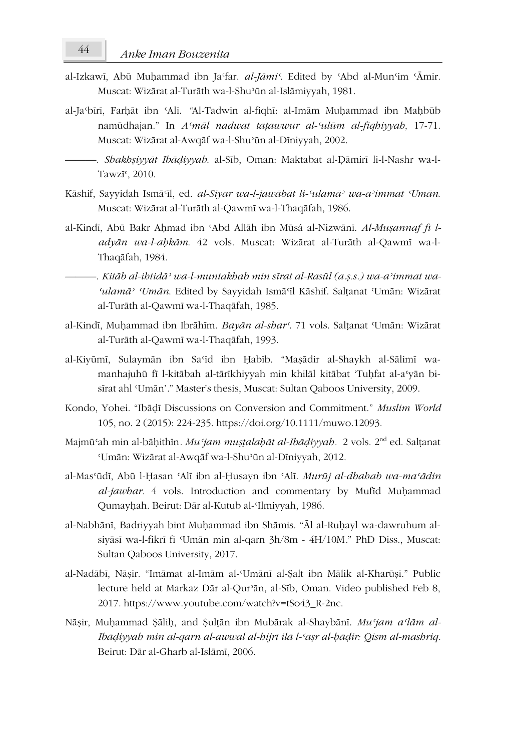- al-Izkawī, Abū Muḥammad ibn Jaʿfar. *al-Jāmiʿ*. Edited by ʿAbd al-Munʿim ʿĀmir. Muscat: Wizārat al-Turāth wa-l-Shuʾūn al-Islāmiyyah, 1981.
- al-Jaʿbīrī, Farḥāt ibn ʿAlī. *"*Al-Tadwīn al-fiqhī: al-Imām Muḥammad ibn Maḥbūb namūdhajan." In *Aʿmāl nadwat taṭawwur al-ʿulūm al-fiqhiyyah,* 17-71. Muscat: Wizārat al-Awqāf wa-l-Shuʾūn al-Dīniyyah, 2002.
	- ———. *Shakhṣiyyāt Ibāḍiyyah*. al-Sīb, Oman: Maktabat al-Ḍāmirī li-l-Nashr wa-l-Tawzī<sup>c</sup>, 2010.
- Kāshif, Sayyidah Ismāʿīl, ed. *al-Siyar wa-l-jawābāt li-ʿulamāʾ wa-aʾimmat ʿUmān*. Muscat: Wizārat al-Turāth al-Qawmī wa-l-Thaqāfah, 1986.
- al-Kindī, Abū Bakr Ahmad ibn 'Abd Allāh ibn Mūsá al-Nizwānī. *Al-Musannaf fī ladyān wa-l-aḥkām*. 42 vols. Muscat: Wizārat al-Turāth al-Qawmī wa-l-Thaqāfah, 1984.
- ———. *Kitāb al-ihtidāʾ wa-l-muntakhab min sīrat al-Rasūl (a.ṣ.s.) wa-aʾimmat wa-ʿulamāʾ ʿUmān*. Edited by Sayyidah Ismāʿīl Kāshif. Salṭanat ʿUmān: Wizārat al-Turāth al-Qawmī wa-l-Thaqāfah, 1985.
- al-Kindī, Muḥammad ibn Ibrāhīm. *Bayān al-sharʿ*. 71 vols. Salṭanat ʿUmān: Wizārat al-Turāth al-Qawmī wa-l-Thaqāfah, 1993.
- al-Kiyūmī, Sulaymān ibn Saʿīd ibn Ḥabīb. "Maṣādir al-Shaykh al-Sālimī wamanhajuhū fī l-kitābah al-tārīkhiyyah min khilāl kitābat 'Tuhfat al-a'yān bisīrat ahl ʿUmān'*.*" Master's thesis, Muscat: Sultan Qaboos University, 2009.
- Kondo, Yohei. "Ibāḍī Discussions on Conversion and Commitment." *Muslim World* 105, no. 2 (2015): 224-235. https://doi.org/10.1111/muwo.12093.
- Majmūʿah min al-bāḥithīn*. Muʿjam muṣṭalaḥāt al-Ibāḍiyyah.* 2 vols. 2nd ed. Salṭanat ʿUmān: Wizārat al-Awqāf wa-l-Shuʾūn al-Dīniyyah, 2012.
- al-Masʿūdī, Abū l-Ḥasan ʿAlī ibn al-Ḥusayn ibn ʿAlī. *Murūj al-dhahab wa-maʿādin al-jawhar.* 4 vols. Introduction and commentary by Mufīd Muḥammad Qumayḥah. Beirut: Dār al-Kutub al-ʿIlmiyyah, 1986.
- al-Nabhānī, Badriyyah bint Muḥammad ibn Shāmis. "Āl al-Ruḥayl wa-dawruhum alsiyāsī wa-l-fikrī fī ʿUmān min al-qarn 3h/8m - 4H/10M*.*" PhD Diss., Muscat: Sultan Qaboos University, 2017.
- al-Nadābī, Nāṣir. "Imāmat al-Imām al-ʿUmānī al-Ṣalt ibn Mālik al-Kharūṣī." Public lecture held at Markaz Dār al-Qurʾān, al-Sīb, Oman. Video published Feb 8, 2017. https://www.youtube.com/watch?v=tSo43\_R-2nc.
- Nāṣir, Muḥammad Ṣāliḥ, and Ṣulṭān ibn Mubārak al-Shaybānī. *Muʿjam aʿlām al-Ibāḍiyyah min al-qarn al-awwal al-hijrī ilā l-ʿaṣr al-ḥāḍir: Qism al-mashriq.* Beirut: Dār al-Gharb al-Islāmī, 2006.